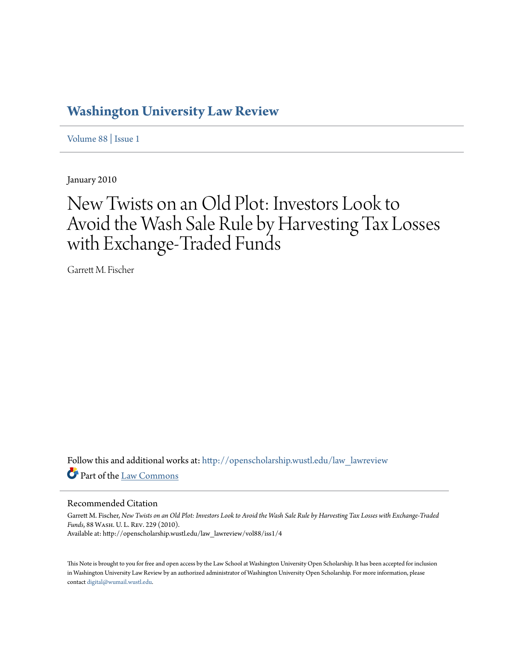# **[Washington University Law Review](http://openscholarship.wustl.edu/law_lawreview?utm_source=openscholarship.wustl.edu%2Flaw_lawreview%2Fvol88%2Fiss1%2F4&utm_medium=PDF&utm_campaign=PDFCoverPages)**

[Volume 88](http://openscholarship.wustl.edu/law_lawreview/vol88?utm_source=openscholarship.wustl.edu%2Flaw_lawreview%2Fvol88%2Fiss1%2F4&utm_medium=PDF&utm_campaign=PDFCoverPages) | [Issue 1](http://openscholarship.wustl.edu/law_lawreview/vol88/iss1?utm_source=openscholarship.wustl.edu%2Flaw_lawreview%2Fvol88%2Fiss1%2F4&utm_medium=PDF&utm_campaign=PDFCoverPages)

January 2010

# New Twists on an Old Plot: Investors Look to Avoid the Wash Sale Rule by Harvesting Tax Losses with Exchange-Traded Funds

Garrett M. Fischer

Follow this and additional works at: [http://openscholarship.wustl.edu/law\\_lawreview](http://openscholarship.wustl.edu/law_lawreview?utm_source=openscholarship.wustl.edu%2Flaw_lawreview%2Fvol88%2Fiss1%2F4&utm_medium=PDF&utm_campaign=PDFCoverPages) Part of the [Law Commons](http://network.bepress.com/hgg/discipline/578?utm_source=openscholarship.wustl.edu%2Flaw_lawreview%2Fvol88%2Fiss1%2F4&utm_medium=PDF&utm_campaign=PDFCoverPages)

# Recommended Citation

Garrett M. Fischer, *New Twists on an Old Plot: Investors Look to Avoid the Wash Sale Rule by Harvesting Tax Losses with Exchange-Traded Funds*, 88 Wash. U. L. Rev. 229 (2010). Available at: http://openscholarship.wustl.edu/law\_lawreview/vol88/iss1/4

This Note is brought to you for free and open access by the Law School at Washington University Open Scholarship. It has been accepted for inclusion in Washington University Law Review by an authorized administrator of Washington University Open Scholarship. For more information, please contact [digital@wumail.wustl.edu.](mailto:digital@wumail.wustl.edu)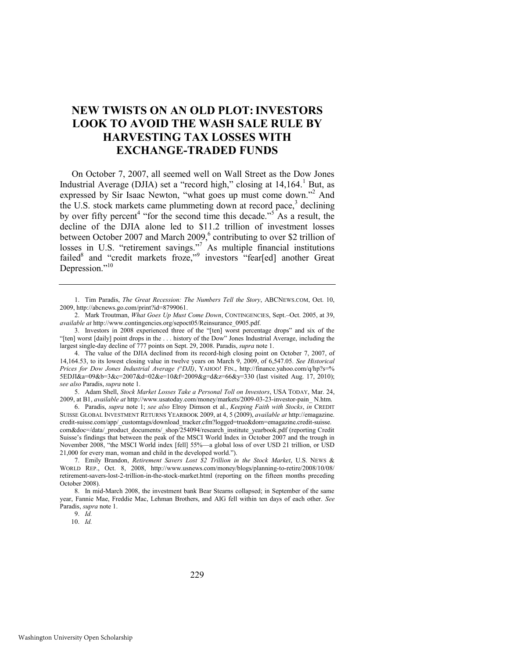# **NEW TWISTS ON AN OLD PLOT:INVESTORS LOOK TO AVOID THE WASH SALE RULE BY HARVESTING TAX LOSSES WITH EXCHANGE-TRADED FUNDS**

<span id="page-1-2"></span><span id="page-1-0"></span>On October 7, 2007, all seemed well on Wall Street as the Dow Jones Industrial Average (DJIA) set a "record high," closing at  $14,164$ .<sup>1</sup> But, as expressed by Sir Isaac Newton, "what goes up must come down."<sup>2</sup> And the U.S. stock markets came plummeting down at record pace,<sup>3</sup> declining by over fifty percent<sup>4</sup> "for the second time this decade."<sup>5</sup> As a result, the decline of the DJIA alone led to \$11.2 trillion of investment losses between October 2007 and March 2009,<sup>6</sup> contributing to over \$2 trillion of losses in U.S. "retirement savings."<sup>7</sup> As multiple financial institutions failed<sup>8</sup> and "credit markets froze," investors "fear[ed] another Great Depression."10

5. Adam Shell, *Stock Market Losses Take a Personal Toll on Investors*, USA TODAY, Mar. 24, 2009, at B1, *available at* http://www.usatoday.com/money/markets/2009-03-23-investor-pain\_ N.htm.

6. Paradis, *supra* note [1;](#page-1-0) *see also* Elroy Dimson et al., *Keeping Faith with Stocks*, *in* CREDIT SUISSE GLOBAL INVESTMENT RETURNS YEARBOOK 2009, at 4, 5 (2009), *available at* http://emagazine. credit-suisse.com/app/\_customtags/download\_tracker.cfm?logged=true&dom=emagazine.credit-suisse. com&doc=/data/\_product\_documents/\_shop/254094/research\_institute\_yearbook.pdf (reporting Credit Suisse's findings that between the peak of the MSCI World Index in October 2007 and the trough in November 2008, "the MSCI World index [fell] 55%—a global loss of over USD 21 trillion, or USD 21,000 for every man, woman and child in the developed world.").

7. Emily Brandon, *Retirement Savers Lost \$2 Trillion in the Stock Market*, U.S. NEWS & WORLD REP., Oct. 8, 2008, http://www.usnews.com/money/blogs/planning-to-retire/2008/10/08/ retirement-savers-lost-2-trillion-in-the-stock-market.html (reporting on the fifteen months preceding October 2008).

8. In mid-March 2008, the investment bank Bear Stearns collapsed; in September of the same year, Fannie Mae, Freddie Mac, Lehman Brothers, and AIG fell within ten days of each other. *See*  Paradis, *supra* not[e 1.](#page-1-0) 

9. *Id.*

10. *Id.* 

229

<span id="page-1-1"></span><sup>1.</sup> Tim Paradis, *The Great Recession: The Numbers Tell the Story*, ABCNEWS.COM, Oct. 10, 2009, http://abcnews.go.com/print?id=8799061.

<sup>2.</sup> Mark Troutman, *What Goes Up Must Come Down*, CONTINGENCIES, Sept.–Oct. 2005, at 39, *available at* http://www.contingencies.org/sepoct05/Reinsurance\_0905.pdf.

<sup>3.</sup> Investors in 2008 experienced three of the "[ten] worst percentage drops" and six of the ―[ten] worst [daily] point drops in the . . . history of the Dow‖ Jones Industrial Average, including the largest single-day decline of 777 points on Sept. 29, 2008. Paradis, *supra* not[e 1.](#page-1-0) 

<sup>4.</sup> The value of the DJIA declined from its record-high closing point on October 7, 2007, of 14,164.53, to its lowest closing value in twelve years on March 9, 2009, of 6,547.05. *See Historical Prices for Dow Jones Industrial Average (^DJI)*, YAHOO! FIN., http://finance.yahoo.com/q/hp?s=% 5EDJI&a=09&b=3&c=2007&d=02&e=10&f=2009&g=d&z=66&y=330 (last visited Aug. 17, 2010); *see also* Paradis, *supra* not[e 1.](#page-1-0)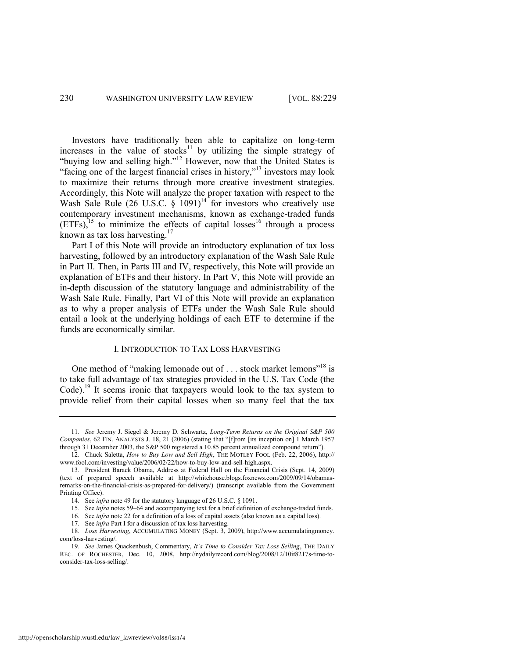<span id="page-2-0"></span>Investors have traditionally been able to capitalize on long-term increases in the value of stocks<sup>11</sup> by utilizing the simple strategy of "buying low and selling high."<sup>12</sup> However, now that the United States is "facing one of the largest financial crises in history," $\frac{13}{13}$  investors may look to maximize their returns through more creative investment strategies. Accordingly, this Note will analyze the proper taxation with respect to the Wash Sale Rule (26 U.S.C.  $\S$  1091)<sup>14</sup> for investors who creatively use contemporary investment mechanisms, known as exchange-traded funds  $(ETFs)$ <sup>15</sup> to minimize the effects of capital losses<sup>16</sup> through a process known as tax loss harvesting.<sup>17</sup>

Part I of this Note will provide an introductory explanation of tax loss harvesting, followed by an introductory explanation of the Wash Sale Rule in Part II. Then, in Parts III and IV, respectively, this Note will provide an explanation of ETFs and their history. In Part V, this Note will provide an in-depth discussion of the statutory language and administrability of the Wash Sale Rule. Finally, Part VI of this Note will provide an explanation as to why a proper analysis of ETFs under the Wash Sale Rule should entail a look at the underlying holdings of each ETF to determine if the funds are economically similar.

# <span id="page-2-1"></span>I. INTRODUCTION TO TAX LOSS HARVESTING

<span id="page-2-2"></span>One method of "making lemonade out of  $\dots$  stock market lemons"<sup>18</sup> is to take full advantage of tax strategies provided in the U.S. Tax Code (the Code).<sup>19</sup> It seems ironic that taxpayers would look to the tax system to provide relief from their capital losses when so many feel that the tax

17. See *infra* Part I for a discussion of tax loss harvesting.

<sup>11.</sup> *See* Jeremy J. Siegel & Jeremy D. Schwartz, *Long-Term Returns on the Original S&P 500 Companies*, 62 FIN. ANALYSTS J. 18, 21 (2006) (stating that "[f]rom [its inception on] 1 March 1957 through 31 December 2003, the S&P 500 registered a 10.85 percent annualized compound return").

<sup>12.</sup> Chuck Saletta, *How to Buy Low and Sell High*, THE MOTLEY FOOL (Feb. 22, 2006), http:// www.fool.com/investing/value/2006/02/22/how-to-buy-low-and-sell-high.aspx.

<sup>13.</sup> President Barack Obama, Address at Federal Hall on the Financial Crisis (Sept. 14, 2009) (text of prepared speech available at http://whitehouse.blogs.foxnews.com/2009/09/14/obamasremarks-on-the-financial-crisis-as-prepared-for-delivery/) (transcript available from the Government Printing Office).

<sup>14.</sup> See *infra* not[e 49](#page-6-0) for the statutory language of 26 U.S.C. § 1091.

<sup>15.</sup> See *infra* note[s 59](#page-8-0)–[64](#page-8-1) and accompanying text for a brief definition of exchange-traded funds.

<sup>16.</sup> See *infra* not[e 22](#page-3-0) for a definition of a loss of capital assets (also known as a capital loss).

<sup>18.</sup> *Loss Harvesting*, ACCUMULATING MONEY (Sept. 3, 2009), http://www.accumulatingmoney. com/loss-harvesting/.

<sup>19.</sup> *See* James Quackenbush, Commentary, *It's Time to Consider Tax Loss Selling*, THE DAILY REC. OF ROCHESTER, Dec. 10, 2008, http://nydailyrecord.com/blog/2008/12/10it8217s-time-toconsider-tax-loss-selling/.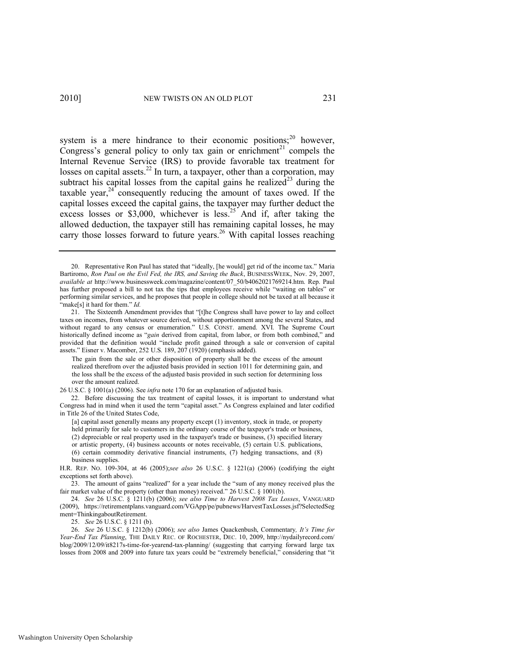<span id="page-3-2"></span><span id="page-3-1"></span><span id="page-3-0"></span>system is a mere hindrance to their economic positions; $20$  however, Congress's general policy to only tax gain or enrichment<sup>21</sup> compels the Internal Revenue Service (IRS) to provide favorable tax treatment for losses on capital assets.<sup>22</sup> In turn, a taxpayer, other than a corporation, may subtract his capital losses from the capital gains he realized<sup>23</sup> during the taxable year, $24$  consequently reducing the amount of taxes owed. If the capital losses exceed the capital gains, the taxpayer may further deduct the excess losses or \$3,000, whichever is less.<sup>25</sup> And if, after taking the allowed deduction, the taxpayer still has remaining capital losses, he may carry those losses forward to future years.<sup>26</sup> With capital losses reaching

22. Before discussing the tax treatment of capital losses, it is important to understand what Congress had in mind when it used the term "capital asset." As Congress explained and later codified in Title 26 of the United States Code,

25. *See* 26 U.S.C. § 1211 (b).

<span id="page-3-3"></span><sup>20.</sup> Representative Ron Paul has stated that "ideally, [he would] get rid of the income tax." Maria Bartiromo, *Ron Paul on the Evil Fed, the IRS, and Saving the Buck*, BUSINESSWEEK, Nov. 29, 2007, *available at* http://www.businessweek.com/magazine/content/07\_50/b4062021769214.htm. Rep. Paul has further proposed a bill to not tax the tips that employees receive while "waiting on tables" or performing similar services, and he proposes that people in college should not be taxed at all because it "make[s] it hard for them." *Id.* 

<sup>21.</sup> The Sixteenth Amendment provides that "[t]he Congress shall have power to lay and collect taxes on incomes, from whatever source derived, without apportionment among the several States, and without regard to any census or enumeration." U.S. CONST. amend. XVI. The Supreme Court historically defined income as "*gain* derived from capital, from labor, or from both combined," and provided that the definition would "include profit gained through a sale or conversion of capital assets." Eisner v. Macomber, 252 U.S. 189, 207 (1920) (emphasis added).

The gain from the sale or other disposition of property shall be the excess of the amount realized therefrom over the adjusted basis provided in [section 1011](http://web2.westlaw.com/find/default.wl?tf=-1&rs=WLW9.11&fn=_top&sv=Split&tc=-1&docname=26USCAS1011&ordoc=1891723&findtype=L&db=1000546&vr=2.0&rp=%2ffind%2fdefault.wl&pbc=42E6E082) for determining gain, and the loss shall be the excess of the adjusted basis provided in such section for determining loss over the amount realized.

<sup>26</sup> U.S.C. § 1001(a) (2006). See *infra* not[e 170 f](#page-21-0)or an explanation of adjusted basis.

<sup>[</sup>a] capital asset generally means any property except (1) inventory, stock in trade, or property held primarily for sale to customers in the ordinary course of the taxpayer's trade or business, (2) depreciable or real property used in the taxpayer's trade or business, (3) specified literary or artistic property, (4) business accounts or notes receivable, (5) certain U.S. publications, (6) certain commodity derivative financial instruments, (7) hedging transactions, and (8) business supplies.

H.R. REP. NO. 109-304, at 46 (2005);*see also* 26 U.S.C. § 1221(a) (2006) (codifying the eight exceptions set forth above).

<sup>23.</sup> The amount of gains "realized" for a year include the "sum of any money received plus the fair market value of the property (other than money) received."  $26$  U.S.C. § 1001(b).

<sup>24.</sup> *See* 26 U.S.C. § 1211(b) (2006); *see also Time to Harvest 2008 Tax Losses*, VANGUARD (2009), https://retirementplans.vanguard.com/VGApp/pe/pubnews/HarvestTaxLosses.jsf?SelectedSeg ment=ThinkingaboutRetirement.

<sup>26.</sup> *See* 26 U.S.C. § 1212(b) (2006); *see also* James Quackenbush, Commentary*, It's Time for Year-End Tax Planning*, THE DAILY REC. OF ROCHESTER, DEC. 10, 2009, http://nydailyrecord.com/ blog/2009/12/09/it8217s-time-for-yearend-tax-planning/ (suggesting that carrying forward large tax losses from 2008 and 2009 into future tax years could be "extremely beneficial," considering that "it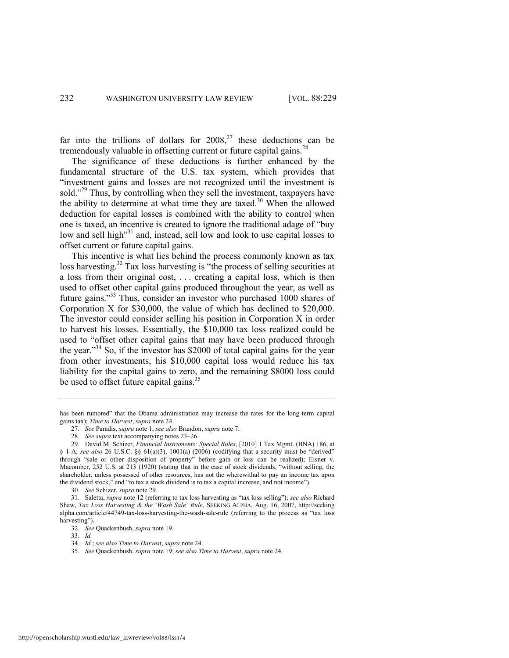far into the trillions of dollars for  $2008<sup>27</sup>$ , these deductions can be tremendously valuable in offsetting current or future capital gains.<sup>28</sup>

<span id="page-4-0"></span>The significance of these deductions is further enhanced by the fundamental structure of the U.S. tax system, which provides that ―investment gains and losses are not recognized until the investment is sold.<sup>229</sup> Thus, by controlling when they sell the investment, taxpayers have the ability to determine at what time they are taxed.<sup>30</sup> When the allowed deduction for capital losses is combined with the ability to control when one is taxed, an incentive is created to ignore the traditional adage of "buy" low and sell high<sup>31</sup> and, instead, sell low and look to use capital losses to offset current or future capital gains.

<span id="page-4-1"></span>This incentive is what lies behind the process commonly known as tax loss harvesting.<sup>32</sup> Tax loss harvesting is "the process of selling securities at a loss from their original cost, . . . creating a capital loss, which is then used to offset other capital gains produced throughout the year, as well as future gains."<sup>33</sup> Thus, consider an investor who purchased 1000 shares of Corporation X for \$30,000, the value of which has declined to \$20,000. The investor could consider selling his position in Corporation X in order to harvest his losses. Essentially, the \$10,000 tax loss realized could be used to "offset other capital gains that may have been produced through the year."<sup>34</sup> So, if the investor has \$2000 of total capital gains for the year from other investments, his \$10,000 capital loss would reduce his tax liability for the capital gains to zero, and the remaining \$8000 loss could be used to offset future capital gains.<sup>35</sup>

30. *See* Schizer, *supra* not[e 29.](#page-4-0) 

has been rumored" that the Obama administration may increase the rates for the long-term capital gains tax); *Time to Harvest*, *supra* not[e 24.](#page-3-1)

<sup>27.</sup> *See* Paradis, *supra* not[e 1;](#page-1-0) *see also* Brandon, *supra* not[e 7.](#page-1-1)

<sup>28.</sup> *See supra* text accompanying note[s 23](#page-3-2)–[26.](#page-3-3)

<sup>29.</sup> David M. Schizer, *Financial Instruments: Special Rules*, [2010] 1 Tax Mgmt. (BNA) 186, at § 1-A; see also 26 U.S.C. §§ 61(a)(3), 1001(a) (2006) (codifying that a security must be "derived" through "sale or other disposition of property" before gain or loss can be realized); Eisner v. Macomber, 252 U.S. at 213 (1920) (stating that in the case of stock dividends, "without selling, the shareholder, unless possessed of other resources, has not the wherewithal to pay an income tax upon the dividend stock," and "to tax a stock dividend is to tax a capital increase, and not income").

<sup>31.</sup> Saletta, *supra* not[e 12](#page-2-0) (referring to tax loss harvesting as "tax loss selling"); *see also* Richard Shaw, *Tax Loss Harvesting & the* ‗*Wash Sale*' *Rule*, SEEKING ALPHA, Aug. 16, 2007, http://seeking alpha.com/article/44749-tax-loss-harvesting-the-wash-sale-rule (referring to the process as "tax loss harvesting").

<sup>32.</sup> *See* Quackenbush, *supra* not[e 19.](#page-2-1) 

<sup>33.</sup> *Id.* 

<sup>34.</sup> *Id.*; *see also Time to Harvest*, *supra* not[e 24.](#page-3-1)

<sup>35.</sup> *See* Quackenbush, *supra* not[e 19;](#page-2-2) *see also Time to Harvest*, *supra* not[e 24.](#page-3-1)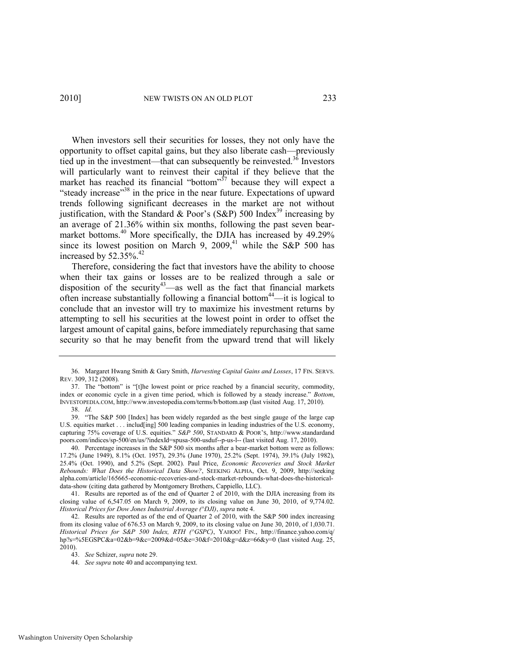When investors sell their securities for losses, they not only have the opportunity to offset capital gains, but they also liberate cash—previously tied up in the investment—that can subsequently be reinvested.<sup>36</sup> Investors will particularly want to reinvest their capital if they believe that the market has reached its financial "bottom"<sup>37</sup> because they will expect a "steady increase"<sup>38</sup> in the price in the near future. Expectations of upward trends following significant decreases in the market are not without justification, with the Standard & Poor's (S&P) 500 Index<sup>39</sup> increasing by an average of 21.36% within six months, following the past seven bearmarket bottoms.<sup>40</sup> More specifically, the DJIA has increased by 49.29% since its lowest position on March 9, 2009,<sup>41</sup> while the S&P 500 has increased by 52.35%.<sup>42</sup>

<span id="page-5-0"></span>Therefore, considering the fact that investors have the ability to choose when their tax gains or losses are to be realized through a sale or disposition of the security<sup>43</sup>—as well as the fact that financial markets often increase substantially following a financial bottom<sup>44</sup>—it is logical to conclude that an investor will try to maximize his investment returns by attempting to sell his securities at the lowest point in order to offset the largest amount of capital gains, before immediately repurchasing that same security so that he may benefit from the upward trend that will likely

<sup>36.</sup> Margaret Hwang Smith & Gary Smith, *Harvesting Capital Gains and Losses*, 17 FIN. SERVS. REV. 309, 312 (2008).

<sup>37.</sup> The "bottom" is "[t]he lowest point or price reached by a financial security, commodity, index or economic cycle in a given time period, which is followed by a steady increase." *Bottom*, INVESTOPEDIA.COM, http://www.investopedia.com/terms/b/bottom.asp (last visited Aug. 17, 2010).

<sup>38.</sup> *Id.*

<sup>39. &</sup>quot;The S&P 500 [Index] has been widely regarded as the best single gauge of the large cap U.S. equities market . . . includ[ing] 500 leading companies in leading industries of the U.S. economy, capturing 75% coverage of U.S. equities." *S&P 500*, STANDARD & POOR's, http://www.standardand poors.com/indices/sp-500/en/us/?indexId=spusa-500-usduf--p-us-l-- (last visited Aug. 17, 2010).

<sup>40.</sup> Percentage increases in the S&P 500 six months after a bear-market bottom were as follows: 17.2% (June 1949), 8.1% (Oct. 1957), 29.3% (June 1970), 25.2% (Sept. 1974), 39.1% (July 1982), 25.4% (Oct. 1990), and 5.2% (Sept. 2002). Paul Price, *Economic Recoveries and Stock Market Rebounds: What Does the Historical Data Show?*, SEEKING ALPHA, Oct. 9, 2009, http://seeking alpha.com/article/165665-economic-recoveries-and-stock-market-rebounds-what-does-the-historicaldata-show (citing data gathered by Montgomery Brothers, Cappiello, LLC).

<sup>41.</sup> Results are reported as of the end of Quarter 2 of 2010, with the DJIA increasing from its closing value of  $6,547.05$  on March 9, 2009, to its closing value on June 30, 2010, of  $9,774.02$ . *Historical Prices for Dow Jones Industrial Average (^DJI)*, *supra* not[e 4.](#page-1-2) 

<sup>42.</sup> Results are reported as of the end of Quarter 2 of 2010, with the S&P 500 index increasing from its closing value of 676.53 on March 9, 2009, to its closing value on June 30, 2010, of 1,030.71. *Historical Prices for S&P 500 Index, RTH (^GSPC)*, YAHOO! FIN., <http://finance.yahoo.com/q/> hp?s=%5EGSPC&a=02&b=9&c=2009&d=05&e=30&f=2010&g=d&z=66&y=0 (last visited Aug. 25, 2010).

<sup>43.</sup> *See* Schizer, *supra* not[e 29.](#page-4-0) 

<sup>44.</sup> *See supra* not[e 40 a](#page-5-0)nd accompanying text.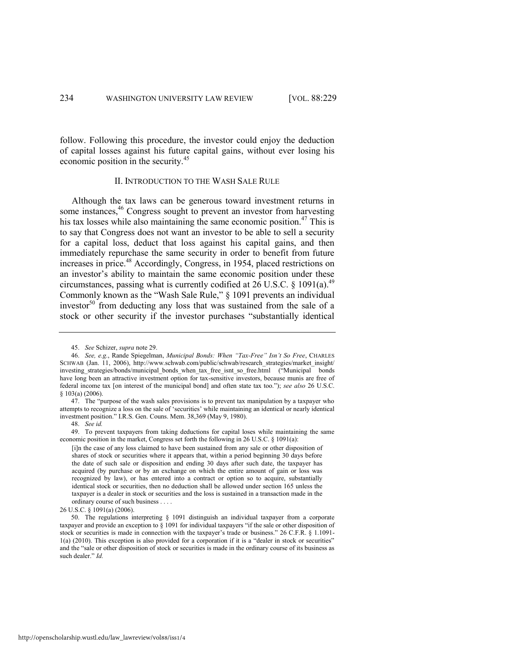follow. Following this procedure, the investor could enjoy the deduction of capital losses against his future capital gains, without ever losing his economic position in the security.<sup>45</sup>

# <span id="page-6-0"></span>II. INTRODUCTION TO THE WASH SALE RULE

Although the tax laws can be generous toward investment returns in some instances,<sup>46</sup> Congress sought to prevent an investor from harvesting his tax losses while also maintaining the same economic position.<sup>47</sup> This is to say that Congress does not want an investor to be able to sell a security for a capital loss, deduct that loss against his capital gains, and then immediately repurchase the same security in order to benefit from future increases in price.<sup>48</sup> Accordingly, Congress, in 1954, placed restrictions on an investor's ability to maintain the same economic position under these circumstances, passing what is currently codified at  $26$  U.S.C. § 1091(a).<sup>49</sup> Commonly known as the "Wash Sale Rule," § 1091 prevents an individual investor<sup>50</sup> from deducting any loss that was sustained from the sale of a stock or other security if the investor purchases "substantially identical

26 U.S.C. § 1091(a) (2006).

<sup>45.</sup> *See* Schizer, *supra* not[e 29.](#page-4-0)

<sup>46.</sup> *See, e.g.*, Rande Spiegelman, *Municipal Bonds: When "Tax-Free" Isn't So Free*, CHARLES SCHWAB (Jan. 11, 2006), http://www.schwab.com/public/schwab/research\_strategies/market\_insight/ investing\_strategies/bonds/municipal\_bonds\_when\_tax\_free\_isnt\_so\_free.html ("Municipal bonds have long been an attractive investment option for tax-sensitive investors, because munis are free of federal income tax [on interest of the municipal bond] and often state tax too.‖); *see also* 26 U.S.C. § 103(a) (2006).

<sup>47.</sup> The "purpose of the wash sales provisions is to prevent tax manipulation by a taxpayer who attempts to recognize a loss on the sale of ‗securities' while maintaining an identical or nearly identical investment position." I.R.S. Gen. Couns. Mem. 38,369 (May 9, 1980).

<sup>48.</sup> *See id.*

<sup>49.</sup> To prevent taxpayers from taking deductions for capital loses while maintaining the same economic position in the market, Congress set forth the following in 26 U.S.C. § 1091(a):

<sup>[</sup>i]n the case of any loss claimed to have been sustained from any sale or other disposition of shares of stock or securities where it appears that, within a period beginning 30 days before the date of such sale or disposition and ending 30 days after such date, the taxpayer has acquired (by purchase or by an exchange on which the entire amount of gain or loss was recognized by law), or has entered into a contract or option so to acquire, substantially identical stock or securities, then no deduction shall be allowed under section 165 unless the taxpayer is a dealer in stock or securities and the loss is sustained in a transaction made in the ordinary course of such business . . . .

<sup>50.</sup> The regulations interpreting § 1091 distinguish an individual taxpayer from a corporate taxpayer and provide an exception to  $\S$  1091 for individual taxpayers "if the sale or other disposition of stock or securities is made in connection with the taxpayer's trade or business." 26 C.F.R. § 1.1091- $1(a)$  (2010). This exception is also provided for a corporation if it is a "dealer in stock or securities" and the "sale or other disposition of stock or securities is made in the ordinary course of its business as such dealer." *Id.*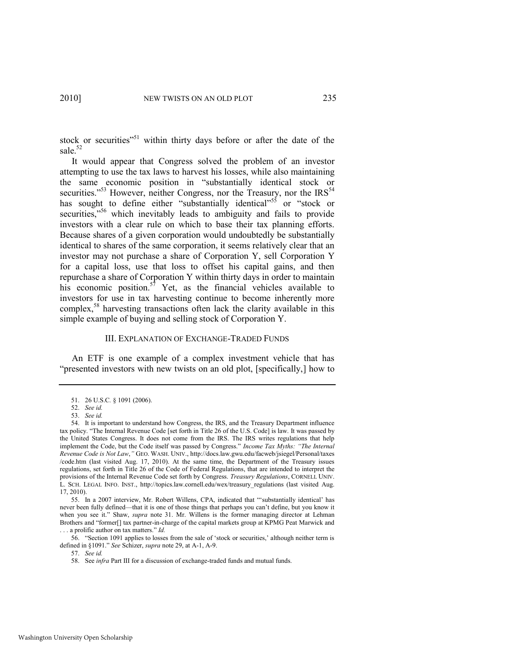stock or securities<sup>351</sup> within thirty days before or after the date of the sale.<sup>52</sup>

<span id="page-7-1"></span>It would appear that Congress solved the problem of an investor attempting to use the tax laws to harvest his losses, while also maintaining the same economic position in "substantially identical stock or securities.<sup>53</sup> However, neither Congress, nor the Treasury, nor the  $IRS<sup>54</sup>$ has sought to define either "substantially identical"<sup>55</sup> or "stock or securities,<sup>556</sup> which inevitably leads to ambiguity and fails to provide investors with a clear rule on which to base their tax planning efforts. Because shares of a given corporation would undoubtedly be substantially identical to shares of the same corporation, it seems relatively clear that an investor may not purchase a share of Corporation Y, sell Corporation Y for a capital loss, use that loss to offset his capital gains, and then repurchase a share of Corporation Y within thirty days in order to maintain his economic position.<sup>57</sup> Yet, as the financial vehicles available to investors for use in tax harvesting continue to become inherently more complex,<sup>58</sup> harvesting transactions often lack the clarity available in this simple example of buying and selling stock of Corporation Y.

# <span id="page-7-0"></span>III. EXPLANATION OF EXCHANGE-TRADED FUNDS

An ETF is one example of a complex investment vehicle that has "presented investors with new twists on an old plot, [specifically,] how to

55. In a 2007 interview, Mr. Robert Willens, CPA, indicated that "substantially identical' has never been fully defined—that it is one of those things that perhaps you can't define, but you know it when you see it." Shaw, *supra* note [31.](#page-4-1) Mr. Willens is the former managing director at Lehman Brothers and "former[] tax partner-in-charge of the capital markets group at KPMG Peat Marwick and ... a prolific author on tax matters." *Id.* 

56. "Section 1091 applies to losses from the sale of 'stock or securities,' although neither term is defined in §1091." *See Schizer*, *supra* not[e 29,](#page-4-0) at A-1, A-9.

57. *See id.*

<sup>51. 26</sup> U.S.C*.* § 1091 (2006).

<sup>52.</sup> *See id.*

<sup>53.</sup> *See id.*

<sup>54.</sup> It is important to understand how Congress, the IRS, and the Treasury Department influence tax policy. "The Internal Revenue Code [set forth in Title 26 of the U.S. Code] is law. It was passed by the United States Congress. It does not come from the IRS. The IRS writes regulations that help implement the Code, but the Code itself was passed by Congress." *Income Tax Myths: "The Internal Revenue Code is Not Law*,*"* GEO. WASH. UNIV., http://docs.law.gwu.edu/facweb/jsiegel/Personal/taxes /code.htm (last visited Aug. 17, 2010). At the same time, the Department of the Treasury issues regulations, set forth in Title 26 of the Code of Federal Regulations, that are intended to interpret the provisions of the Internal Revenue Code set forth by Congress. *Treasury Regulations*, CORNELL UNIV. L. SCH. LEGAL INFO. INST., http://topics.law.cornell.edu/wex/treasury\_regulations (last visited Aug. 17, 2010).

<sup>58.</sup> See *infra* Part III for a discussion of exchange-traded funds and mutual funds.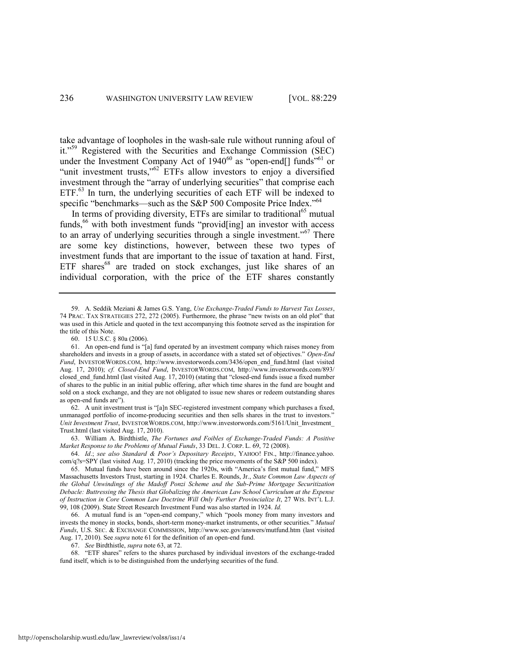<span id="page-8-4"></span><span id="page-8-2"></span><span id="page-8-0"></span>take advantage of loopholes in the wash-sale rule without running afoul of it."<sup>59</sup> Registered with the Securities and Exchange Commission (SEC) under the Investment Company Act of  $1940^{60}$  as "open-end[] funds"<sup>61</sup> or "unit investment trusts," $62$  ETFs allow investors to enjoy a diversified investment through the "array of underlying securities" that comprise each ETF.<sup>63</sup> In turn, the underlying securities of each ETF will be indexed to specific "benchmarks—such as the S&P 500 Composite Price Index."  $64$ 

<span id="page-8-3"></span><span id="page-8-1"></span>In terms of providing diversity, ETFs are similar to traditional<sup>65</sup> mutual funds,<sup>66</sup> with both investment funds "provid[ing] an investor with access to an array of underlying securities through a single investment.<sup> $567$ </sup> There are some key distinctions, however, between these two types of investment funds that are important to the issue of taxation at hand. First, ETF shares<sup>68</sup> are traded on stock exchanges, just like shares of an individual corporation, with the price of the ETF shares constantly

62. A unit investment trust is "[a]n SEC-registered investment company which purchases a fixed, unmanaged portfolio of income-producing securities and then sells shares in the trust to investors.<sup>1</sup> *Unit Investment Trust*, INVESTORWORDS.COM, http://www.investorwords.com/5161/Unit\_Investment\_ Trust.html (last visited Aug. 17, 2010).

63. William A. Birdthistle, *The Fortunes and Foibles of Exchange-Traded Funds: A Positive Market Response to the Problems of Mutual Funds*, 33 DEL. J. CORP. L. 69, 72 (2008).

64. *Id*.; *see also Standard & Poor's Depositary Receipts*, YAHOO! FIN., http://finance.yahoo. com/q?s=SPY (last visited Aug. 17, 2010) (tracking the price movements of the S&P 500 index).

66. A mutual fund is an "open-end company," which "pools money from many investors and invests the money in stocks, bonds, short-term money-market instruments, or other securities." Mutual *Funds*, U.S. SEC. & EXCHANGE COMMISSION,<http://www.sec.gov/answers/mutfund.htm>(last visited Aug. 17, 2010). See *supra* not[e 61](#page-8-2) for the definition of an open-end fund.

67. *See* Birdthistle, *supra* not[e 63,](#page-8-3) at 72.

68. "ETF shares" refers to the shares purchased by individual investors of the exchange-traded fund itself, which is to be distinguished from the underlying securities of the fund.

<sup>59.</sup> A. Seddik Meziani & James G.S. Yang, *Use Exchange-Traded Funds to Harvest Tax Losses*, 74 PRAC. TAX STRATEGIES 272, 272 (2005). Furthermore, the phrase "new twists on an old plot" that was used in this Article and quoted in the text accompanying this footnote served as the inspiration for the title of this Note.

<sup>60. 15</sup> U.S.C. § 80a (2006).

<sup>61.</sup> An open-end fund is "[a] fund operated by an investment company which raises money from shareholders and invests in a group of assets, in accordance with a stated set of objectives." Open-End Fund, INVESTORWORDS.COM, http://www.investorwords.com/3436/open\_end\_fund.html (last visited Aug. 17, 2010); *cf. Closed-End Fund*, INVESTORWORDS.COM, http://www.investorwords.com/893/ closed end fund.html (last visited Aug. 17, 2010) (stating that "closed-end funds [issue a](http://www.investorwords.com/2651/issue.html) fixed number of shares to the [public](http://www.investorwords.com/3930/public.html) in an [initial public offering,](http://www.investorwords.com/2475/Initial_Public_Offering.html) after which time shares in the fund are bought and [sold o](http://www.investorwords.com/7717/sold.html)n [a stock exchange,](http://www.investorwords.com/4733/stock_exchange.html) and they are not obligated to issue new shares or redeem [outstanding shares](http://www.businessdictionary.com/definition/outstanding-shares.html) as open-end funds are").

<sup>65.</sup> Mutual funds have been around since the 1920s, with "America's first mutual fund," MFS Massachusetts Investors Trust, starting in 1924. Charles E. Rounds, Jr., *State Common Law Aspects of the Global Unwindings of the Madoff Ponzi Scheme and the Sub-Prime Mortgage Securitization Debacle: Buttressing the Thesis that Globalizing the American Law School Curriculum at the Expense of Instruction in Core Common Law Doctrine Will Only Further Provincialize It*, 27 WIS. INT'L L.J. 99, 108 (2009). State Street Research Investment Fund was also started in 1924. *Id.*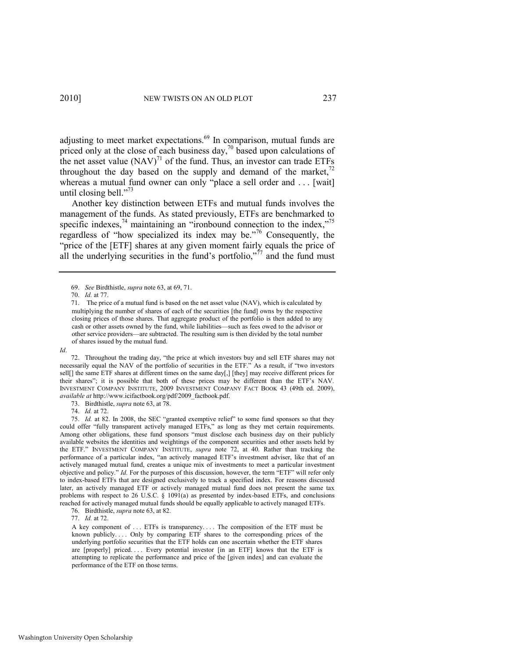<span id="page-9-4"></span><span id="page-9-2"></span>adjusting to meet market expectations.<sup>69</sup> In comparison, mutual funds are priced only at the close of each business day, $\frac{70}{3}$  based upon calculations of the net asset value  $(NAV)^{71}$  of the fund. Thus, an investor can trade ETFs throughout the day based on the supply and demand of the market, $72$ whereas a mutual fund owner can only "place a sell order and . . . [wait] until closing bell." $^{73}$ 

<span id="page-9-0"></span>Another key distinction between ETFs and mutual funds involves the management of the funds. As stated previously, ETFs are benchmarked to specific indexes,<sup>74</sup> maintaining an "ironbound connection to the index,"<sup>75</sup> regardless of "how specialized its index may be."<sup>76</sup> Consequently, the "price of the [ETF] shares at any given moment fairly equals the price of all the underlying securities in the fund's portfolio," $77$  and the fund must

*Id*.

72. Throughout the trading day, "the price at which investors buy and sell ETF shares may not necessarily equal the NAV of the portfolio of securities in the ETF." As a result, if "two investors sell[] the same ETF shares at different times on the same day[,] [they] may receive different prices for their shares‖; it is possible that both of these prices may be different than the ETF's NAV. INVESTMENT COMPANY INSTITUTE, 2009 INVESTMENT COMPANY FACT BOOK 43 (49th ed. 2009), *available at* http://www.icifactbook.org/pdf/2009\_factbook.pdf.

73. Birdthistle, *supra* not[e 63,](#page-8-3) at 78.

74. *Id.* at 72.

75. *Id.* at 82. In 2008, the SEC "granted exemptive relief" to some fund sponsors so that they could offer "fully transparent actively managed ETFs," as long as they met certain requirements. Among other obligations, these fund sponsors "must disclose each business day on their publicly available websites the identities and weightings of the component securities and other assets held by the ETF.‖ INVESTMENT COMPANY INSTITUTE, *supra* note [72,](#page-9-0) at 40. Rather than tracking the performance of a particular index, "an actively managed ETF's investment adviser, like that of an actively managed mutual fund, creates a unique mix of investments to meet a particular investment objective and policy." *Id.* For the purposes of this discussion, however, the term "ETF" will refer only to index-based ETFs that are designed exclusively to track a specified index. For reasons discussed later, an actively managed ETF or actively managed mutual fund does not present the same tax problems with respect to 26 U.S.C.  $\S$  1091(a) as presented by index-based ETFs, and conclusions reached for actively managed mutual funds should be equally applicable to actively managed ETFs.

76. Birdthistle, *supra* not[e 63,](#page-8-3) at 82.

77. *Id.* at 72.

A key component of . . . ETFs is transparency. . . . The composition of the ETF must be known publicly. . . . Only by comparing ETF shares to the corresponding prices of the underlying portfolio securities that the ETF holds can one ascertain whether the ETF shares are [properly] priced. . . . Every potential investor [in an ETF] knows that the ETF is attempting to replicate the performance and price of the [given index] and can evaluate the performance of the ETF on those terms.

<span id="page-9-3"></span><span id="page-9-1"></span><sup>69.</sup> *See* Birdthistle, *supra* not[e 63,](#page-8-3) at 69, 71.

<sup>70.</sup> *Id.* at 77.

<sup>71.</sup> The price of a mutual fund is based on the net asset value (NAV), which is calculated by multiplying the number of shares of each of the securities [the fund] owns by the respective closing prices of those shares. That aggregate product of the portfolio is then added to any cash or other assets owned by the fund, while liabilities—such as fees owed to the advisor or other service providers—are subtracted. The resulting sum is then divided by the total number of shares issued by the mutual fund.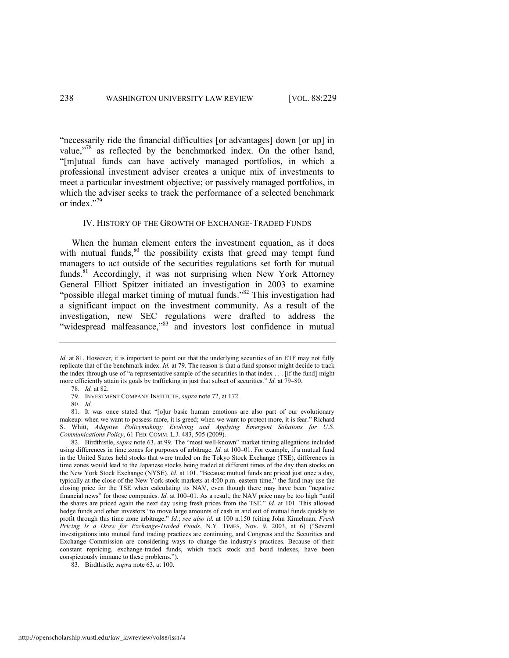―necessarily ride the financial difficulties [or advantages] down [or up] in value,"<sup>78</sup> as reflected by the benchmarked index. On the other hand, ―[m]utual funds can have actively managed portfolios, in which a professional investment adviser creates a unique mix of investments to meet a particular investment objective; or passively managed portfolios, in which the adviser seeks to track the performance of a selected benchmark or index."<sup>79</sup>

### <span id="page-10-0"></span>IV. HISTORY OF THE GROWTH OF EXCHANGE-TRADED FUNDS

<span id="page-10-1"></span>When the human element enters the investment equation, as it does with mutual funds, $80$  the possibility exists that greed may tempt fund managers to act outside of the securities regulations set forth for mutual funds.<sup>81</sup> Accordingly, it was not surprising when New York Attorney General Elliott Spitzer initiated an investigation in 2003 to examine "possible illegal market timing of mutual funds."<sup>82</sup> This investigation had a significant impact on the investment community. As a result of the investigation, new SEC regulations were drafted to address the "widespread malfeasance,"83 and investors lost confidence in mutual

*Id.* at 81. However, it is important to point out that the underlying securities of an ETF may not fully replicate that of the benchmark index. *Id.* at 79. The reason is that a fund sponsor might decide to track the index through use of "a representative sample of the securities in that index . . . [if the fund] might more efficiently attain its goals by trafficking in just that subset of securities." *Id.* at 79–80. 78. *Id.* at 82.

<sup>79.</sup> INVESTMENT COMPANY INSTITUTE, *supra* not[e 72,](#page-9-0) at 172.

<sup>80.</sup> *Id.* 

<sup>81.</sup> It was once stated that "[o]ur basic human emotions are also part of our evolutionary makeup: when we want to possess more, it is greed; when we want to protect more, it is fear." Richard S. Whitt, *Adaptive Policymaking: Evolving and Applying Emergent Solutions for U.S. Communications Policy*, 61 FED. COMM. L.J. 483, 505 (2009).

<sup>82.</sup> Birdthistle, *supra* note [63,](#page-8-3) at 99. The "most well-known" market timing allegations included using differences in time zones for purposes of arbitrage. *Id.* at 100–01. For example, if a mutual fund in the United States held stocks that were traded on the Tokyo Stock Exchange (TSE), differences in time zones would lead to the Japanese stocks being traded at different times of the day than stocks on the New York Stock Exchange (NYSE). *Id.* at 101. "Because mutual funds are priced just once a day, typically at the close of the New York stock markets at 4:00 p.m. eastern time," the fund may use the closing price for the TSE when calculating its NAV, even though there may have been "negative financial news" for those companies. *Id.* at 100–01. As a result, the NAV price may be too high "until" the shares are priced again the next day using fresh prices from the TSE." *Id.* at 101. This allowed hedge funds and other investors "to move large amounts of cash in and out of mutual funds quickly to profit through this time zone arbitrage." *Id.*; *see also id.* at 100 n.150 (citing John Kimelman, *Fresh Pricing Is a Draw for Exchange-Traded Funds*, N.Y. TIMES, Nov. 9, 2003, at 6) ("Several investigations into mutual fund trading practices are continuing, and Congress and the Securities and Exchange Commission are considering ways to change the industry's practices. Because of their constant repricing, exchange-traded funds, which track stock and bond indexes, have been conspicuously immune to these problems.").

<sup>83.</sup> Birdthistle, *supra* not[e 63,](#page-8-3) at 100.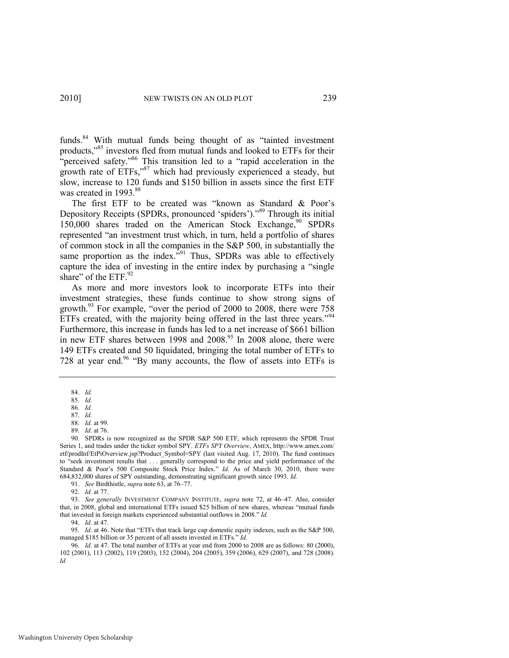funds.<sup>84</sup> With mutual funds being thought of as "tainted investment products,"<sup>85</sup> investors fled from mutual funds and looked to ETFs for their "perceived safety."<sup>86</sup> This transition led to a "rapid acceleration in the growth rate of ETFs,"<sup>87</sup> which had previously experienced a steady, but slow, increase to 120 funds and \$150 billion in assets since the first ETF was created in 1993.<sup>88</sup>

<span id="page-11-0"></span>The first ETF to be created was "known as Standard  $\&$  Poor's Depository Receipts (SPDRs, pronounced 'spiders')."<sup>89</sup> Through its initial 150,000 shares traded on the American Stock Exchange,<sup>90</sup> SPDRs represented "an investment trust which, in turn, held a portfolio of shares of common stock in all the companies in the S&P 500, in substantially the same proportion as the index."<sup>91</sup> Thus, SPDRs was able to effectively capture the idea of investing in the entire index by purchasing a "single" share" of the ETF.<sup>92</sup>

As more and more investors look to incorporate ETFs into their investment strategies, these funds continue to show strong signs of growth.<sup>93</sup> For example, "over the period of 2000 to 2008, there were  $758$ ETFs created, with the majority being offered in the last three years."<sup>94</sup> Furthermore, this increase in funds has led to a net increase of \$661 billion in new ETF shares between 1998 and  $2008<sup>95</sup>$  In 2008 alone, there were 149 ETFs created and 50 liquidated, bringing the total number of ETFs to 728 at year end.<sup>96</sup> "By many accounts, the flow of assets into ETFs is

<sup>84.</sup> *Id.*

<sup>85.</sup> *Id.* 

<sup>86.</sup> *Id.*  87. *Id.* 

<sup>88.</sup> *Id.* at 99. 89. *Id.* at 76.

<sup>90.</sup> SPDRs is now recognized as the SPDR S&P 500 ETF, which represents the SPDR Trust Series 1, and trades under the ticker symbol SPY. *ETFs SPY Overview*, AMEX, http://www.amex.com/ etf/prodInf/EtPiOverview.jsp?Product\_Symbol=SPY (last visited Aug. 17, 2010). The fund continues to "seek investment results that . . . generally correspond to the price and yield performance of the Standard & Poor's 500 Composite Stock Price Index." *Id.* As of March 30, 2010, there were 684,832,000 shares of SPY outstanding, demonstrating significant growth since 1993. *Id.* 

<sup>91.</sup> *See* Birdthistle, *supra* not[e 63,](#page-8-3) at 76–77.

<sup>92.</sup> *Id.* at 77.

<sup>93.</sup> *See generally* INVESTMENT COMPANY INSTITUTE, *supra* note [72,](#page-9-0) at 46–47. Also, consider that, in 2008, global and international ETFs issued \$25 billion of new shares, whereas "mutual funds that invested in foreign markets experienced substantial outflows in 2008." Id.

<sup>94.</sup> *Id.* at 47.

<sup>95.</sup> *Id.* at 46. Note that "ETFs that track large cap domestic equity indexes, such as the S&P 500, managed \$185 billion or 35 percent of all assets invested in ETFs." *Id.* 

<sup>96.</sup> *Id.* at 47. The total number of ETFs at year end from 2000 to 2008 are as follows: 80 (2000), 102 (2001), 113 (2002), 119 (2003), 152 (2004), 204 (2005), 359 (2006), 629 (2007), and 728 (2008). *Id.*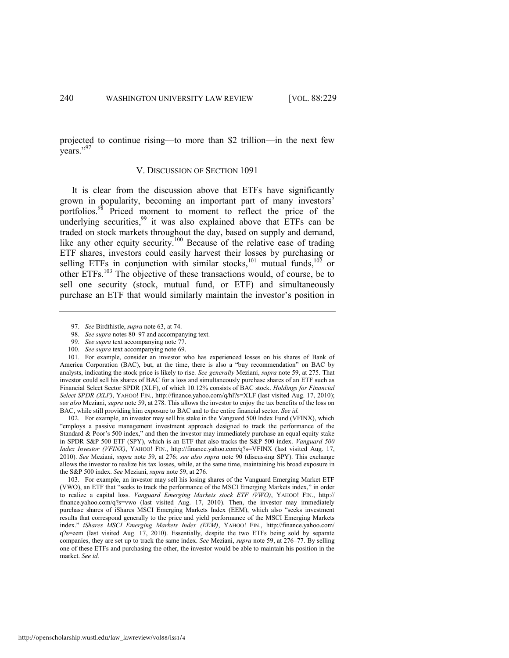<span id="page-12-0"></span>projected to continue rising—to more than \$2 trillion—in the next few years."97

# <span id="page-12-1"></span>V. DISCUSSION OF SECTION 1091

It is clear from the discussion above that ETFs have significantly grown in popularity, becoming an important part of many investors' portfolios.<sup>98</sup> Priced moment to moment to reflect the price of the underlying securities,<sup>99</sup> it was also explained above that ETFs can be traded on stock markets throughout the day, based on supply and demand, like any other equity security.<sup>100</sup> Because of the relative ease of trading ETF shares, investors could easily harvest their losses by purchasing or selling ETFs in conjunction with similar stocks,<sup>101</sup> mutual funds, $102$  or other ETFs.<sup>103</sup> The objective of these transactions would, of course, be to sell one security (stock, mutual fund, or ETF) and simultaneously purchase an ETF that would similarly maintain the investor's position in

101. For example, consider an investor who has experienced losses on his shares of Bank of America Corporation (BAC), but, at the time, there is also a "buy recommendation" on BAC by analysts, indicating the stock price is likely to rise. *See generally* Meziani, *supra* not[e 59,](#page-8-0) at 275. That investor could sell his shares of BAC for a loss and simultaneously purchase shares of an ETF such as Financial Select Sector SPDR (XLF), of which 10.12% consists of BAC stock. *Holdings for Financial Select SPDR (XLF)*, YAHOO! FIN., http://finance.yahoo.com/q/hl?s=XLF (last visited Aug. 17, 2010); *see also* Meziani, *supra* not[e 59,](#page-8-0) at 278. This allows the investor to enjoy the tax benefits of the loss on BAC, while still providing him exposure to BAC and to the entire financial sector. *See id.*

102. For example, an investor may sell his stake in the Vanguard 500 Index Fund (VFINX), which ―employs a passive management investment approach designed to track the performance of the Standard & Poor's 500 index," and then the investor may immediately purchase an equal equity stake in SPDR S&P 500 ETF (SPY), which is an ETF that also tracks the S&P 500 index. *Vanguard 500 Index Investor (VFINX)*, YAHOO! FIN., http://finance.yahoo.com/q?s=VFINX (last visited Aug. 17, 2010). *See* Meziani, *supra* note [59,](#page-8-0) at 276; *see also supra* note [90](#page-11-0) (discussing SPY). This exchange allows the investor to realize his tax losses, while, at the same time, maintaining his broad exposure in the S&P 500 index. *See* Meziani, *supra* not[e 59,](#page-8-0) at 276.

103. For example, an investor may sell his losing shares of the Vanguard Emerging Market ETF (VWO), an ETF that "seeks to track the performance of the MSCI Emerging Markets index," in order to realize a capital loss. *Vanguard Emerging Markets stock ETF (VWO)*, YAHOO! FIN., http:// finance.yahoo.com/q?s=vwo (last visited Aug. 17, 2010). Then, the investor may immediately purchase shares of iShares MSCI Emerging Markets Index (EEM), which also "seeks investment results that correspond generally to the price and yield performance of the MSCI Emerging Markets index.‖ *iShares MSCI Emerging Markets Index (EEM)*, YAHOO! FIN., http://finance.yahoo.com/ q?s=eem (last visited Aug. 17, 2010). Essentially, despite the two ETFs being sold by separate companies, they are set up to track the same index. *See* Meziani, *supra* not[e 59,](#page-8-0) at 276–77. By selling one of these ETFs and purchasing the other, the investor would be able to maintain his position in the market. *See id.*

<span id="page-12-2"></span><sup>97.</sup> *See* Birdthistle, *supra* not[e 63,](#page-8-3) at 74.

<sup>98.</sup> *See supra* note[s 80](#page-10-0)–[97 a](#page-12-0)nd accompanying text.

<sup>99.</sup> *See supra* text accompanying not[e 77.](#page-9-1)

<sup>100.</sup> *See supra* text accompanying not[e 69.](#page-9-2)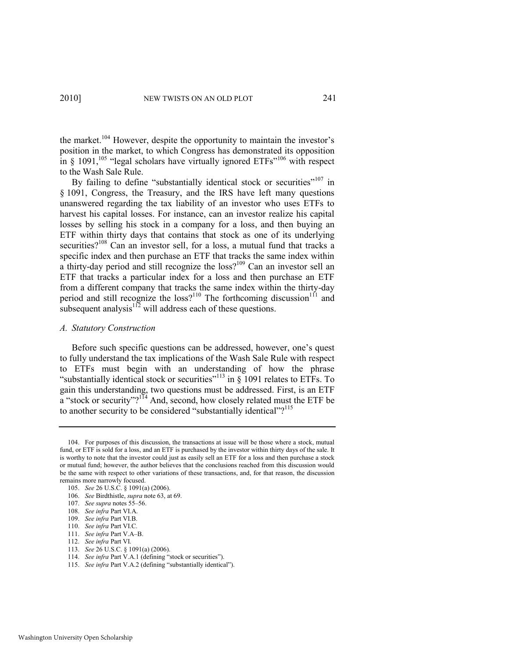the market.<sup>104</sup> However, despite the opportunity to maintain the investor's position in the market, to which Congress has demonstrated its opposition in § 1091,<sup>105</sup> "legal scholars have virtually ignored ETFs"<sup>106</sup> with respect to the Wash Sale Rule.

By failing to define "substantially identical stock or securities"<sup>107</sup> in § 1091, Congress, the Treasury, and the IRS have left many questions unanswered regarding the tax liability of an investor who uses ETFs to harvest his capital losses. For instance, can an investor realize his capital losses by selling his stock in a company for a loss, and then buying an ETF within thirty days that contains that stock as one of its underlying securities?<sup>108</sup> Can an investor sell, for a loss, a mutual fund that tracks a specific index and then purchase an ETF that tracks the same index within a thirty-day period and still recognize the  $loss<sup>109</sup>$  Can an investor sell an ETF that tracks a particular index for a loss and then purchase an ETF from a different company that tracks the same index within the thirty-day period and still recognize the  $loss<sup>110</sup>$  The forthcoming discussion<sup>111</sup> and subsequent analysis<sup>112</sup> will address each of these questions.

# *A. Statutory Construction*

Before such specific questions can be addressed, however, one's quest to fully understand the tax implications of the Wash Sale Rule with respect to ETFs must begin with an understanding of how the phrase "substantially identical stock or securities"<sup>113</sup> in § 1091 relates to ETFs. To gain this understanding, two questions must be addressed. First, is an ETF  $\alpha$  "stock or security"?<sup>114</sup> And, second, how closely related must the ETF be to another security to be considered "substantially identical"?<sup>115</sup>

<sup>104.</sup> For purposes of this discussion, the transactions at issue will be those where a stock, mutual fund, or ETF is sold for a loss, and an ETF is purchased by the investor within thirty days of the sale. It is worthy to note that the investor could just as easily sell an ETF for a loss and then purchase a stock or mutual fund; however, the author believes that the conclusions reached from this discussion would be the same with respect to other variations of these transactions, and, for that reason, the discussion remains more narrowly focused.

<sup>105.</sup> *See* 26 U.S.C. § 1091(a) (2006).

<sup>106.</sup> *See* Birdthistle, *supra* not[e 63,](#page-8-3) at 69.

<sup>107.</sup> *See supra* note[s 55](#page-7-0)–[56.](#page-7-1) 

<sup>108.</sup> *See infra* Part VI.A.

<sup>109.</sup> *See infra* Part VI.B.

<sup>110.</sup> *See infra* Part VI.C.

<sup>111.</sup> *See infra* Part V.A–B.

<sup>112.</sup> *See infra* Part VI.

<sup>113.</sup> *See* 26 U.S.C. § 1091(a) (2006).

<sup>114.</sup> *See infra Part V.A.1* (defining "stock or securities").

<sup>115.</sup> *See infra Part V.A.2* (defining "substantially identical").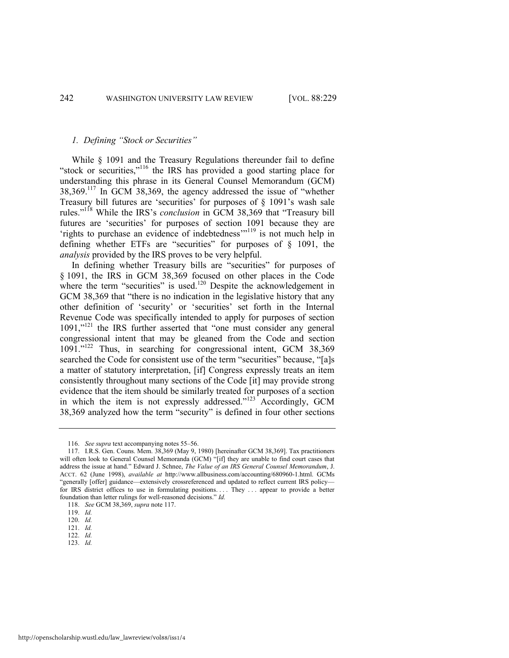# *1. Defining "Stock or Securities"*

<span id="page-14-0"></span>While § 1091 and the Treasury Regulations thereunder fail to define "stock or securities,"<sup>116</sup> the IRS has provided a good starting place for understanding this phrase in its General Counsel Memorandum (GCM)  $38,369$ .<sup>117</sup> In GCM  $38,369$ , the agency addressed the issue of "whether Treasury bill futures are 'securities' for purposes of  $\S$  1091's wash sale rules."<sup>118</sup> While the IRS's *conclusion* in GCM 38,369 that "Treasury bill futures are 'securities' for purposes of section 1091 because they are  $r_{\text{in}}$  in the securities to purchase an evidence of indebtedness $\frac{m_1}{10}$  is not much help in defining whether ETFs are "securities" for purposes of  $\S$  1091, the *analysis* provided by the IRS proves to be very helpful.

In defining whether Treasury bills are "securities" for purposes of § 1091, the IRS in GCM 38,369 focused on other places in the Code where the term "securities" is used.<sup>120</sup> Despite the acknowledgement in GCM 38,369 that "there is no indication in the legislative history that any other definition of 'security' or 'securities' set forth in the Internal Revenue Code was specifically intended to apply for purposes of section  $1091$ ," $^{121}$  the IRS further asserted that "one must consider any general congressional intent that may be gleaned from the Code and section  $1091.^{122}$  Thus, in searching for congressional intent, GCM 38,369 searched the Code for consistent use of the term "securities" because, "[a]s a matter of statutory interpretation, [if] Congress expressly treats an item consistently throughout many sections of the Code [it] may provide strong evidence that the item should be similarly treated for purposes of a section in which the item is not expressly addressed." $123$  Accordingly, GCM 38,369 analyzed how the term "security" is defined in four other sections

<sup>116.</sup> *See supra* text accompanying note[s 55](#page-7-0)–[56.](#page-7-1)

<sup>117.</sup> I.R.S. Gen. Couns. Mem. 38,369 (May 9, 1980) [hereinafter GCM 38,369]. Tax practitioners will often look to General Counsel Memoranda (GCM) "[if] they are unable to find court cases that address the issue at hand.‖ Edward J. Schnee, *The Value of an IRS General Counsel Memorandum*, J. ACCT. 62 (June 1998), *available at* http://www.allbusiness.com/accounting/680960-1.html. GCMs ―generally [offer] guidance—extensively crossreferenced and updated to reflect current IRS policy for IRS district offices to use in formulating positions. . . . They . . . appear to provide a better foundation than letter rulings for well-reasoned decisions." *Id.* 

<sup>118.</sup> *See* GCM 38,369, *supra* not[e 117.](#page-14-0) 

<sup>119.</sup> *Id.* 

<sup>120.</sup> *Id.* 

<sup>121.</sup> *Id.*  122. *Id.* 

<sup>123.</sup> *Id.*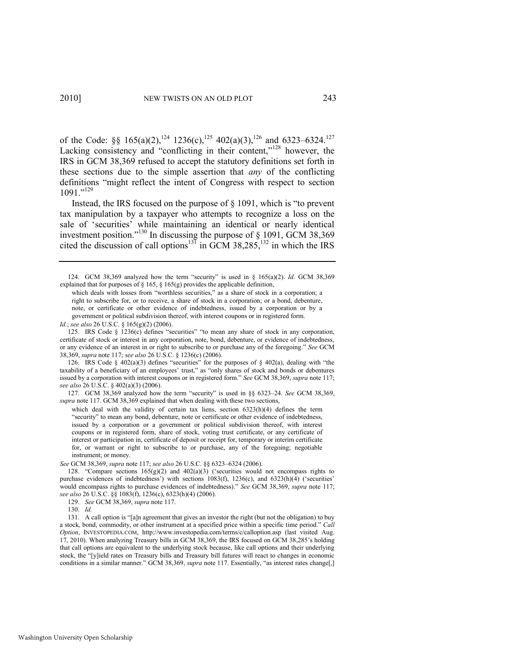of the Code: §§ 165(a)(2),<sup>124</sup> 1236(c),<sup>125</sup> 402(a)(3),<sup>126</sup> and 6323–6324.<sup>127</sup> Lacking consistency and "conflicting in their content," $128$  however, the IRS in GCM 38,369 refused to accept the statutory definitions set forth in these sections due to the simple assertion that *any* of the conflicting definitions "might reflect the intent of Congress with respect to section  $1091.^{,129}$ 

<span id="page-15-0"></span>Instead, the IRS focused on the purpose of  $\S$  1091, which is "to prevent" tax manipulation by a taxpayer who attempts to recognize a loss on the sale of 'securities' while maintaining an identical or nearly identical investment position."<sup>130</sup> In discussing the purpose of  $\S$  1091, GCM 38,369 cited the discussion of call options<sup>131</sup> in GCM 38,285,<sup>132</sup> in which the IRS

126. IRS Code § 402(a)(3) defines "securities" for the purposes of § 402(a), dealing with "the taxability of a beneficiary of an employees' trust," as "only shares of stock and bonds or debentures issued by a corporation with interest coupons or in registered form." See GCM 38,369, *supra* note 117; *see also* 26 U.S.C. § 402(a)(3) (2006).

127. GCM 38,369 analyzed how the term "security" is used in §§ 6323-24. *See* GCM 38,369, *supra* not[e 117.](#page-14-0) GCM 38,369 explained that when dealing with these two sections,

which deal with the validity of certain tax liens, section  $6323(h)(4)$  defines the term ―security‖ to mean any bond, debenture, note or certificate or other evidence of indebtedness, issued by a corporation or a government or political subdivision thereof, with interest coupons or in registered form, share of stock, voting trust certificate, or any certificate of interest or participation in, certificate of deposit or receipt for, temporary or interim certificate for, or warrant or right to subscribe to or purchase, any of the foregoing; negotiable instrument; or money.

*See* GCM 38,369, *supra* not[e 117;](#page-14-0) *see also* 26 U.S.C. §§ 6323–6324 (2006).

128. "Compare sections  $165(g)(2)$  and  $402(a)(3)$  ('securities would not encompass rights to purchase evidences of indebtedness') with sections  $1083(f)$ ,  $1236(c)$ , and  $6323(h)(4)$  ('securities' would encompass rights to purchase evidences of indebtedness).‖ *See* GCM 38,369, *supra* note [117;](#page-14-0)  *see also* 26 U.S.C. §§ 1083(f), 1236(c), 6323(h)(4) (2006).

131. A call option is "[a]n agreement that gives an investor the right (but not the obligation) to buy a stock, bond, commodity, or other instrument at a specified price within a specific time period." Call *Option*, INVESTOPEDIA.COM, http://www.investopedia.com/terms/c/calloption.asp (last visited Aug. 17, 2010). When analyzing Treasury bills in GCM 38,369, the IRS focused on GCM 38,285's holding that call options are equivalent to the underlying stock because, like call options and their underlying stock, the "[y]ield rates on Treasury bills and Treasury bill futures will react to changes in economic conditions in a similar manner." GCM 38,369, *supra* not[e 117.](#page-14-0) Essentially, "as interest rates change[,]

<sup>124.</sup> GCM 38,369 analyzed how the term "security" is used in  $\S$  165(a)(2). *Id.* GCM 38,369 explained that for purposes of § 165, § 165(g) provides the applicable definition,

which deals with losses from "worthless securities," as a share of stock in a corporation; a right to subscribe for, or to receive, a share of stock in a corporation; or a bond, debenture, note, or certificate or other evidence of indebtedness, issued by a corporation or by a government or political subdivision thereof, with interest coupons or in registered form.

*Id.*; *see also* 26 U.S.C. § 165(g)(2) (2006).

<sup>125.</sup> IRS Code  $\S$  1236(c) defines "securities" "to mean any share of stock in any corporation, certificate of stock or interest in any corporation, note, bond, debenture, or evidence of indebtedness, or any evidence of an interest in or right to subscribe to or purchase any of the foregoing." See GCM 38,369, *supra* not[e 117;](#page-14-0) *see also* 26 U.S.C. § 1236(c) (2006).

<sup>129.</sup> *See* GCM 38,369, *supra* not[e 117.](#page-14-0) 

<sup>130.</sup> *Id.*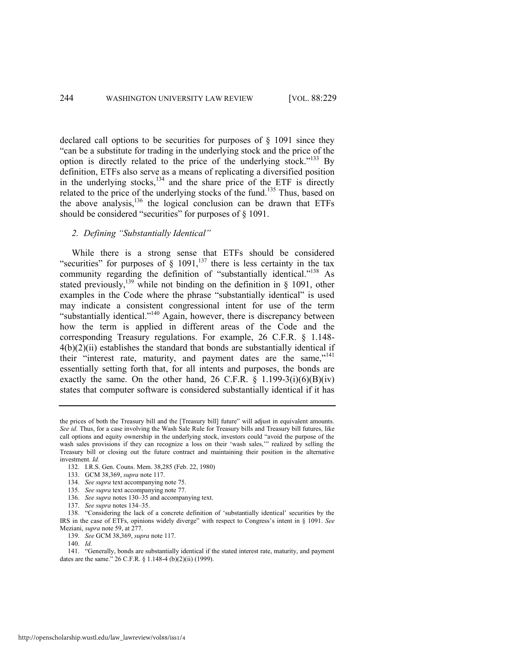declared call options to be securities for purposes of § 1091 since they ―can be a substitute for trading in the underlying stock and the price of the option is directly related to the price of the underlying stock."<sup>133</sup> By definition, ETFs also serve as a means of replicating a diversified position in the underlying stocks,<sup>134</sup> and the share price of the ETF is directly related to the price of the underlying stocks of the fund.<sup>135</sup> Thus, based on the above analysis, $^{136}$  the logical conclusion can be drawn that ETFs should be considered "securities" for purposes of  $\S$  1091.

# <span id="page-16-1"></span><span id="page-16-0"></span>*2. Defining "Substantially Identical"*

While there is a strong sense that ETFs should be considered "securities" for purposes of  $\S$  1091,<sup>137</sup> there is less certainty in the tax community regarding the definition of "substantially identical."<sup>138</sup> As stated previously,<sup>139</sup> while not binding on the definition in  $\S$  1091, other examples in the Code where the phrase "substantially identical" is used may indicate a consistent congressional intent for use of the term "substantially identical."<sup>140</sup> Again, however, there is discrepancy between how the term is applied in different areas of the Code and the corresponding Treasury regulations. For example, 26 C.F.R. § 1.148-  $4(b)(2)(ii)$  establishes the standard that bonds are substantially identical if their "interest rate, maturity, and payment dates are the same," $141$ essentially setting forth that, for all intents and purposes, the bonds are exactly the same. On the other hand, 26 C.F.R.  $\S$  1.199-3(i)(6)(B)(iv) states that computer software is considered substantially identical if it has

the prices of both the Treasury bill and the [Treasury bill] future" will adjust in equivalent amounts. *See id.* Thus, for a case involving the Wash Sale Rule for Treasury bills and Treasury bill futures, like call options and equity ownership in the underlying stock, investors could "avoid the purpose of the wash sales provisions if they can recognize a loss on their 'wash sales,'" realized by selling the Treasury bill or closing out the future contract and maintaining their position in the alternative investment. *Id.* 

<sup>132.</sup> I.R.S. Gen. Couns. Mem. 38,285 (Feb. 22, 1980)

<sup>133.</sup> GCM 38,369, *supra* not[e 117.](#page-14-0) 

<sup>134.</sup> *See supra* text accompanying not[e 75.](#page-9-3)

<sup>135.</sup> *See supra* text accompanying not[e 77.](#page-9-1)

<sup>136.</sup> *See supra* note[s 130](#page-15-0)–35 and accompanying text.

<sup>137.</sup> *See supra* note[s 134](#page-16-0)–35.

<sup>138. &</sup>quot;Considering the lack of a concrete definition of 'substantially identical' securities by the IRS in the case of ETFs, opinions widely diverge‖ with respect to Congress's intent in § 1091. *See*  Meziani, *supra* not[e 59,](#page-8-0) at 277.

<sup>139.</sup> *See* GCM 38,369, *supra* not[e 117.](#page-14-0) 

<sup>140.</sup> *Id.* 

<sup>141. &</sup>quot;Generally, bonds are substantially identical if the stated interest rate, maturity, and payment dates are the same." 26 C.F.R. § 1.148-4 (b)(2)(ii) (1999).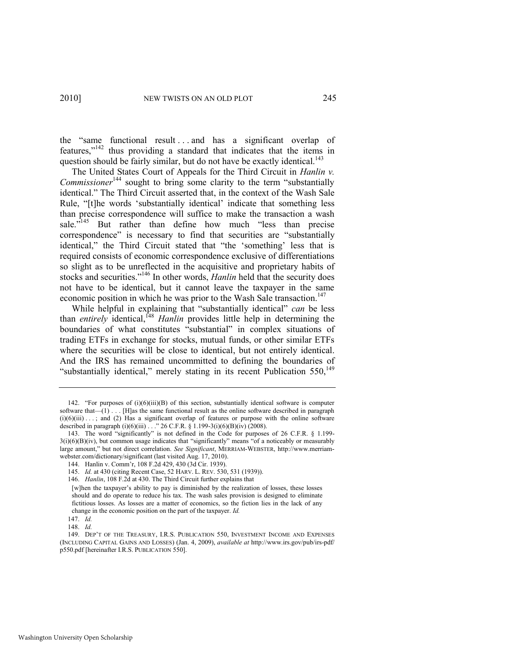the "same functional result . . . and has a significant overlap of features," $142$  thus providing a standard that indicates that the items in question should be fairly similar, but do not have be exactly identical.<sup>143</sup>

The United States Court of Appeals for the Third Circuit in *Hanlin v. Commissioner*<sup>144</sup> sought to bring some clarity to the term "substantially identical." The Third Circuit asserted that, in the context of the Wash Sale Rule, "[t]he words 'substantially identical' indicate that something less than precise correspondence will suffice to make the transaction a wash sale."<sup>145</sup> But rather than define how much "less than precise correspondence" is necessary to find that securities are "substantially identical," the Third Circuit stated that "the 'something' less that is required consists of economic correspondence exclusive of differentiations so slight as to be unreflected in the acquisitive and proprietary habits of stocks and securities.<sup>"146</sup> In other words, *Hanlin* held that the security does not have to be identical, but it cannot leave the taxpayer in the same economic position in which he was prior to the Wash Sale transaction.<sup>147</sup>

While helpful in explaining that "substantially identical" *can* be less than *entirely* identical,<sup>148</sup> *Hanlin* provides little help in determining the boundaries of what constitutes "substantial" in complex situations of trading ETFs in exchange for stocks, mutual funds, or other similar ETFs where the securities will be close to identical, but not entirely identical. And the IRS has remained uncommitted to defining the boundaries of "substantially identical," merely stating in its recent Publication 550,<sup>149</sup>

<span id="page-17-0"></span><sup>142. &</sup>quot;For purposes of  $(i)(6)(iii)(B)$  of this section, substantially identical software is computer software that—(1) . . . [H]as the same functional result as the online software described in paragraph  $(i)(6)(iii) \ldots$ ; and (2) Has a significant overlap of features or purpose with the online software described in paragraph (i)(6)(iii) . . ." 26 C.F.R. § 1.199-3(i)(6)(B)(iv) (2008).

<sup>143.</sup> The word "significantly" is not defined in the Code for purposes of 26 C.F.R. § 1.199- $3(i)(6)(B)(iv)$ , but common usage indicates that "significantly" means "of a noticeably or measurably large amount," but not direct correlation. See Significant, MERRIAM-WEBSTER, http://www.merriamwebster.com/dictionary/significant (last visited Aug. 17, 2010).

<sup>144.</sup> Hanlin v. Comm'r, 108 F.2d 429, 430 (3d Cir. 1939).

<sup>145.</sup> *Id.* at 430 (citing Recent Case, 52 HARV. L. REV. 530, 531 (1939)).

<sup>146.</sup> *Hanlin*, 108 F.2d at 430. The Third Circuit further explains that

<sup>[</sup>w]hen the taxpayer's ability to pay is diminished by the realization of losses, these losses should and do operate to reduce his tax. The wash sales provision is designed to eliminate fictitious losses. As losses are a matter of economics, so the fiction lies in the lack of any change in the economic position on the part of the taxpayer. *Id.* 

<sup>147.</sup> *Id.*

<sup>148.</sup> *Id.*

<sup>149.</sup> DEP'T OF THE TREASURY, I.R.S. PUBLICATION 550, INVESTMENT INCOME AND EXPENSES (INCLUDING CAPITAL GAINS AND LOSSES) (Jan. 4, 2009), *available at* http://www.irs.gov/pub/irs-pdf/ p550.pdf [hereinafter I.R.S. PUBLICATION 550].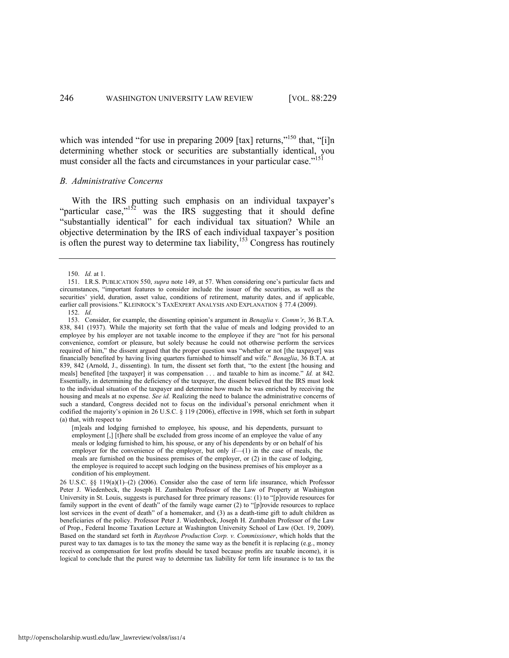<span id="page-18-1"></span>which was intended "for use in preparing 2009 [tax] returns,"<sup>150</sup> that, "[i]n determining whether stock or securities are substantially identical, you must consider all the facts and circumstances in your particular case."<sup>151</sup>

### *B. Administrative Concerns*

With the IRS putting such emphasis on an individual taxpayer's "particular case," $152$  was the IRS suggesting that it should define "substantially identical" for each individual tax situation? While an objective determination by the IRS of each individual taxpayer's position is often the purest way to determine tax liability,<sup>153</sup> Congress has routinely

[m]eals and lodging furnished to employee, his spouse, and his dependents, pursuant to employment [,] [t]here shall be excluded from gross income of an employee the value of any meals or lodging furnished to him, his spouse, or any of his dependents by or on behalf of his employer for the convenience of the employer, but only if— $(1)$  in the case of meals, the meals are furnished on the business premises of the employer, or (2) in the case of lodging, the employee is required to accept such lodging on the business premises of his employer as a condition of his employment.

<span id="page-18-0"></span><sup>150.</sup> *Id.* at 1.

<sup>151.</sup> I.R.S. PUBLICATION 550, *supra* note [149,](#page-17-0) at 57. When considering one's particular facts and circumstances, ―important features to consider include the issuer of the securities, as well as the securities' yield, duration, asset value, conditions of retirement, maturity dates, and if applicable, earlier call provisions." KLEINROCK'S TAXEXPERT ANALYSIS AND EXPLANATION § 77.4 (2009).

<sup>152.</sup> *Id.* 

<sup>153.</sup> Consider, for example, the dissenting opinion's argument in *Benaglia v. Comm'r*, 36 B.T.A. 838, 841 (1937). While the majority set forth that the value of meals and lodging provided to an employee by his employer are not taxable income to the employee if they are "not for his personal convenience, comfort or pleasure, but solely because he could not otherwise perform the services required of him," the dissent argued that the proper question was "whether or not [the taxpayer] was financially benefited by having living quarters furnished to himself and wife." *Benaglia*, 36 B.T.A. at 839, 842 (Arnold, J., dissenting). In turn, the dissent set forth that, "to the extent [the housing and meals] benefited [the taxpayer] it was compensation ... and taxable to him as income." *Id.* at 842. Essentially, in determining the deficiency of the taxpayer, the dissent believed that the IRS must look to the individual situation of the taxpayer and determine how much he was enriched by receiving the housing and meals at no expense. *See id.* Realizing the need to balance the administrative concerns of such a standard, Congress decided not to focus on the individual's personal enrichment when it codified the majority's opinion in 26 U.S.C. § 119 (2006), effective in 1998, which set forth in subpart (a) that, with respect to

<sup>26</sup> U.S.C. §§ 119(a)(1)–(2) (2006). Consider also the case of term life insurance, which Professor Peter J. Wiedenbeck, the Joseph H. Zumbalen Professor of the Law of Property at Washington University in St. Louis, suggests is purchased for three primary reasons: (1) to "[p]rovide resources for family support in the event of death" of the family wage earner (2) to "[p]rovide resources to replace lost services in the event of death" of a homemaker, and (3) as a death-time gift to adult children as beneficiaries of the policy. Professor Peter J. Wiedenbeck, Joseph H. Zumbalen Professor of the Law of Prop., Federal Income Taxation Lecture at Washington University School of Law (Oct. 19, 2009). Based on the standard set forth in *Raytheon Production Corp. v. Commissioner*, which holds that the purest way to tax damages is to tax the money the same way as the benefit it is replacing (e.g., money received as compensation for lost profits should be taxed because profits are taxable income), it is logical to conclude that the purest way to determine tax liability for term life insurance is to tax the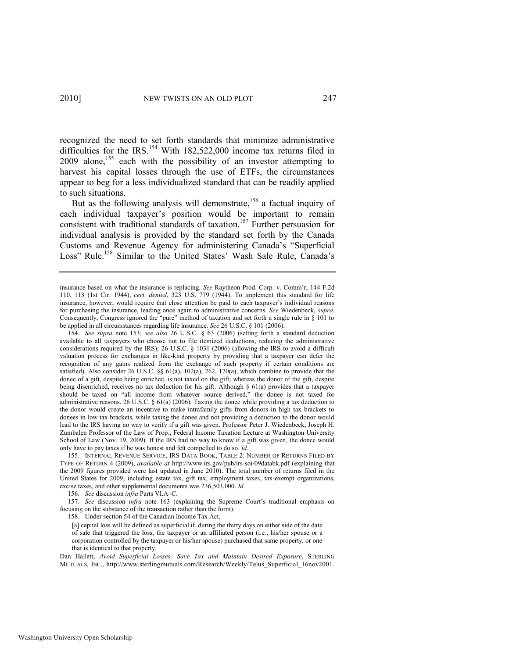recognized the need to set forth standards that minimize administrative difficulties for the IRS.<sup>154</sup> With 182,522,000 income tax returns filed in 2009 alone,<sup>155</sup> each with the possibility of an investor attempting to harvest his capital losses through the use of ETFs, the circumstances appear to beg for a less individualized standard that can be readily applied to such situations.

But as the following analysis will demonstrate,<sup>156</sup> a factual inquiry of each individual taxpayer's position would be important to remain consistent with traditional standards of taxation.<sup>157</sup> Further persuasion for individual analysis is provided by the standard set forth by the Canada Customs and Revenue Agency for administering Canada's "Superficial Loss" Rule.<sup>158</sup> Similar to the United States' Wash Sale Rule, Canada's

155. INTERNAL REVENUE SERVICE, IRS DATA BOOK, TABLE 2: NUMBER OF RETURNS FILED BY TYPE OF RETURN 4 (2009), *available at* http://www.irs.gov/pub/irs-soi/09databk.pdf (explaining that the 2009 figures provided were last updated in June 2010). The total number of returns filed in the United States for 2009, including estate tax, gift tax, employment taxes, tax-exempt organizations, excise taxes, and other supplemental documents was 236,503,000. *Id*.

156. *See* discussion *infra* Parts VI.A–C.

157. *See* discussion *infra* note [163](#page-20-0) (explaining the Supreme Court's traditional emphasis on focusing on the substance of the transaction rather than the form).

158. Under section 54 of the Canadian Income Tax Act,

[a] capital loss will be defined as superficial if, during the thirty days on either side of the date of sale that triggered the loss, the taxpayer or an affiliated person (i.e., his/her spouse or a corporation controlled by the taxpayer or his/her spouse) purchased that same property, or one that is identical to that property.

Dan Hallett, *Avoid Superficial Losses: Save Tax and Maintain Desired Exposure*, STERLING MUTUALS, INC., http://www.sterlingmutuals.com/Research/Weekly/Telus\_Superficial\_16nov2001.

insurance based on what the insurance is replacing. *See* Raytheon Prod. Corp. v. Comm'r, 144 F.2d 110, 113 (1st Cir. 1944), *cert. denied*, 323 U.S. 779 (1944). To implement this standard for life insurance, however, would require that close attention be paid to each taxpayer's individual reasons for purchasing the insurance, leading once again to administrative concerns. *See* Wiedenbeck, *supra*. Consequently, Congress ignored the "pure" method of taxation and set forth a single rule in  $\S$  101 to be applied in all circumstances regarding life insurance. *See* 26 U.S.C. § 101 (2006).

<sup>154.</sup> *See supra* note [153;](#page-18-0) *see also* 26 U.S.C. § 63 (2006) (setting forth a standard deduction available to all taxpayers who choose not to file itemized deductions, reducing the administrative considerations required by the IRS); 26 U.S.C. § 1031 (2006) (allowing the IRS to avoid a difficult valuation process for exchanges in like-kind property by providing that a taxpayer can defer the recognition of any gains realized from the exchange of such property if certain conditions are satisfied). Also consider 26 U.S.C. §§ 61(a), 102(a), 262, 170(a), which combine to provide that the donee of a gift, despite being enriched, is not taxed on the gift; whereas the donor of the gift, despite being disenriched, receives no tax deduction for his gift. Although § 61(a) provides that a taxpayer should be taxed on "all income from whatever source derived," the donee is not taxed for administrative reasons. 26 U.S.C. § 61(a) (2006)*.* Taxing the donee while providing a tax deduction to the donor would create an incentive to make intrafamily gifts from donors in high tax brackets to donees in low tax brackets, while taxing the donee and not providing a deduction to the donor would lead to the IRS having no way to verify if a gift was given. Professor Peter J. Wiedenbeck, Joseph H. Zumbalen Professor of the Law of Prop., Federal Income Taxation Lecture at Washington University School of Law (Nov. 19, 2009). If the IRS had no way to know if a gift was given, the donee would only have to pay taxes if he was honest and felt compelled to do so. *Id.*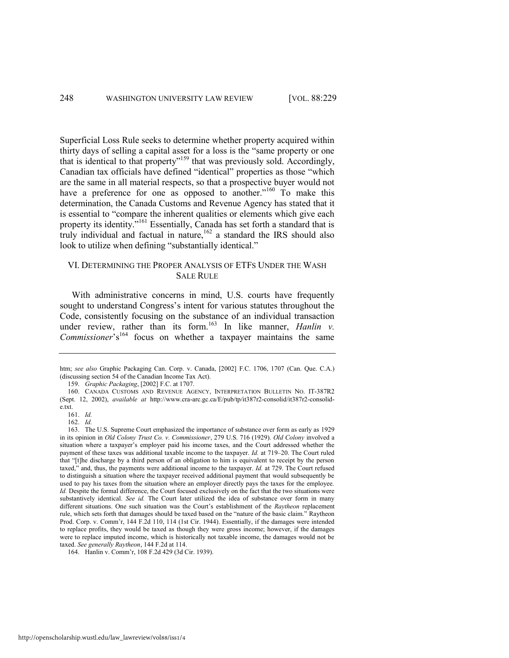Superficial Loss Rule seeks to determine whether property acquired within thirty days of selling a capital asset for a loss is the "same property or one that is identical to that property"<sup>159</sup> that was previously sold. Accordingly, Canadian tax officials have defined "identical" properties as those "which are the same in all material respects, so that a prospective buyer would not have a preference for one as opposed to another." $160$  To make this determination, the Canada Customs and Revenue Agency has stated that it is essential to "compare the inherent qualities or elements which give each property its identity."<sup>161</sup> Essentially, Canada has set forth a standard that is truly individual and factual in nature,  $162$  a standard the IRS should also look to utilize when defining "substantially identical."

# VI. DETERMINING THE PROPER ANALYSIS OF ETFS UNDER THE WASH SALE RULE

<span id="page-20-0"></span>With administrative concerns in mind, U.S. courts have frequently sought to understand Congress's intent for various statutes throughout the Code, consistently focusing on the substance of an individual transaction under review, rather than its form.<sup>163</sup> In like manner, *Hanlin v. Commissioner*'s<sup>164</sup> focus on whether a taxpayer maintains the same

159. *Graphic Packaging*, [2002] F.C. at 1707.

163. The U.S. Supreme Court emphasized the importance of substance over form as early as 1929 in its opinion in *Old Colony Trust Co. v. Commissioner*, 279 U.S. 716 (1929). *Old Colony* involved a situation where a taxpayer's employer paid his income taxes, and the Court addressed whether the payment of these taxes was additional taxable income to the taxpayer. *Id.* at 719–20. The Court ruled that "[t]he discharge by a third person of an obligation to him is equivalent to receipt by the person taxed," and, thus, the payments were additional income to the taxpayer. *Id.* at 729. The Court refused to distinguish a situation where the taxpayer received additional payment that would subsequently be used to pay his taxes from the situation where an employer directly pays the taxes for the employee. *Id.* Despite the formal difference, the Court focused exclusively on the fact that the two situations were substantively identical. *See id.* The Court later utilized the idea of substance over form in many different situations. One such situation was the Court's establishment of the *Raytheon* replacement rule, which sets forth that damages should be taxed based on the "nature of the basic claim." Raytheon Prod. Corp. v. Comm'r, 144 F.2d 110, 114 (1st Cir. 1944). Essentially, if the damages were intended to replace profits, they would be taxed as though they were gross income; however, if the damages were to replace imputed income, which is historically not taxable income, the damages would not be taxed. *See generally Raytheon*, 144 F.2d at 114.

164. Hanlin v. Comm'r, 108 F.2d 429 (3d Cir. 1939).

htm; *see also* Graphic Packaging Can. Corp. v. Canada, [2002] F.C. 1706, 1707 (Can. Que. C.A.) (discussing section 54 of the Canadian Income Tax Act).

<sup>160.</sup> CANADA CUSTOMS AND REVENUE AGENCY, INTERPRETATION BULLETIN NO. IT-387R2 (Sept. 12, 2002), *available at* http://www.cra-arc.gc.ca/E/pub/tp/it387r2-consolid/it387r2-consolide.txt.

<sup>161.</sup> *Id.* 

<sup>162.</sup> *Id.*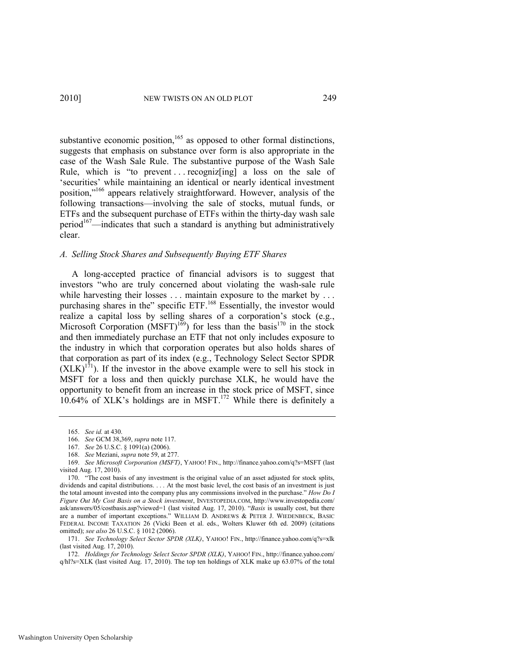<span id="page-21-3"></span>substantive economic position, $165$  as opposed to other formal distinctions, suggests that emphasis on substance over form is also appropriate in the case of the Wash Sale Rule. The substantive purpose of the Wash Sale Rule, which is "to prevent ... recognize  $\left[\frac{1}{10}\right]$  a loss on the sale of ‗securities' while maintaining an identical or nearly identical investment position,"<sup>166</sup> appears relatively straightforward. However, analysis of the following transactions—involving the sale of stocks, mutual funds, or ETFs and the subsequent purchase of ETFs within the thirty-day wash sale period $167$ —indicates that such a standard is anything but administratively clear.

#### *A. Selling Stock Shares and Subsequently Buying ETF Shares*

<span id="page-21-4"></span><span id="page-21-1"></span><span id="page-21-0"></span>A long-accepted practice of financial advisors is to suggest that investors "who are truly concerned about violating the wash-sale rule while harvesting their losses . . . maintain exposure to the market by . . . purchasing shares in the" specific ETF.<sup>168</sup> Essentially, the investor would realize a capital loss by selling shares of a corporation's stock (e.g., Microsoft Corporation (MSFT)<sup>169</sup>) for less than the basis<sup>170</sup> in the stock and then immediately purchase an ETF that not only includes exposure to the industry in which that corporation operates but also holds shares of that corporation as part of its index (e.g., Technology Select Sector SPDR  $(XLK)^{171}$ ). If the investor in the above example were to sell his stock in MSFT for a loss and then quickly purchase XLK, he would have the opportunity to benefit from an increase in the stock price of MSFT, since  $10.64\%$  of XLK's holdings are in MSFT.<sup>172</sup> While there is definitely a

171. *See Technology Select Sector SPDR (XLK)*, YAHOO! FIN., http://finance.yahoo.com/q?s=xlk (last visited Aug. 17, 2010).

172. *Holdings for Technology Select Sector SPDR (XLK)*, YAHOO! FIN., http://finance.yahoo.com/ q/hl?s=XLK (last visited Aug. 17, 2010). The top ten holdings of XLK make up 63.07% of the total

<span id="page-21-2"></span><sup>165.</sup> *See id.* at 430.

<sup>166.</sup> *See* GCM 38,369, *supra* not[e 117.](#page-14-0) 

<sup>167.</sup> *See* 26 U.S.C. § 1091(a) (2006).

<sup>168.</sup> *See* Meziani, *supra* not[e 59,](#page-8-0) at 277.

<sup>169.</sup> *See Microsoft Corporation (MSFT)*, YAHOO! FIN., http://finance.yahoo.com/q?s=MSFT (last visited Aug. 17, 2010).

<sup>170. &</sup>quot;The cost basis of any investment is the original value of an asset adjusted for stock splits, dividends and capital distributions. . . . At the most basic level, the cost basis of an investment is just the total amount invested into the company plus any commissions involved in the purchase." *How Do I Figure Out My Cost Basis on a Stock investment*, INVESTOPEDIA.COM, http://www.investopedia.com/ ask/answers/05/costbasis.asp?viewed=1 (last visited Aug. 17, 2010). ―*Basis* is usually cost, but there are a number of important exceptions." WILLIAM D. ANDREWS & PETER J. WIEDENBECK, BASIC FEDERAL INCOME TAXATION 26 (Vicki Been et al. eds., Wolters Kluwer 6th ed. 2009) (citations omitted); *see also* 26 U.S.C. § 1012 (2006).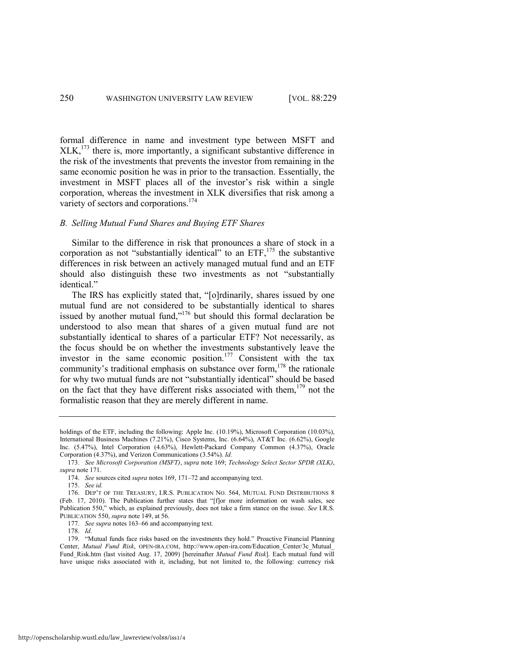formal difference in name and investment type between MSFT and  $XLK$ ,<sup>173</sup> there is, more importantly, a significant substantive difference in the risk of the investments that prevents the investor from remaining in the same economic position he was in prior to the transaction. Essentially, the investment in MSFT places all of the investor's risk within a single corporation, whereas the investment in XLK diversifies that risk among a variety of sectors and corporations.<sup>174</sup>

# <span id="page-22-2"></span>*B. Selling Mutual Fund Shares and Buying ETF Shares*

<span id="page-22-1"></span>Similar to the difference in risk that pronounces a share of stock in a corporation as not "substantially identical" to an  $ETF$ ,<sup>175</sup> the substantive differences in risk between an actively managed mutual fund and an ETF should also distinguish these two investments as not "substantially identical."

The IRS has explicitly stated that, "[o]rdinarily, shares issued by one mutual fund are not considered to be substantially identical to shares issued by another mutual fund," $176$  but should this formal declaration be understood to also mean that shares of a given mutual fund are not substantially identical to shares of a particular ETF? Not necessarily, as the focus should be on whether the investments substantively leave the investor in the same economic position.<sup>177</sup> Consistent with the tax community's traditional emphasis on substance over form,<sup>178</sup> the rationale for why two mutual funds are not "substantially identical" should be based on the fact that they have different risks associated with them,  $179$  not the formalistic reason that they are merely different in name.

177. *See supra* note[s 163](#page-20-0)–66 and accompanying text.

178. *Id.* 

<span id="page-22-0"></span>holdings of the ETF, including the following: Apple Inc. (10.19%), Microsoft Corporation (10.03%), International Business Machines (7.21%), Cisco Systems, Inc. (6.64%), AT&T Inc. (6.62%), Google Inc. (5.47%), Intel Corporation (4.63%), Hewlett-Packard Company Common (4.37%), Oracle Corporation (4.37%), and Verizon Communications (3.54%). *Id.* 

<sup>173.</sup> *See Microsoft Corporation (MSFT)*, *supra* note [169;](#page-21-1) *Technology Select Sector SPDR (XLK)*, *supra* not[e 171.](#page-21-2)

<sup>174.</sup> *See* sources cited *supra* note[s 169,](#page-21-1) [171](#page-21-2)–72 and accompanying text.

<sup>175.</sup> *See id.*

<sup>176.</sup> DEP'T OF THE TREASURY, I.R.S. PUBLICATION NO. 564, MUTUAL FUND DISTRIBUTIONS 8 (Feb. 17, 2010). The Publication further states that "[f]or more information on wash sales, see Publication 550," which, as explained previously, does not take a firm stance on the issue. *See I.R.S.* PUBLICATION 550, *supra* not[e 149,](#page-17-0) at 56.

<sup>179. &</sup>quot;Mutual funds face risks based on the investments they hold." Proactive Financial Planning Center, *Mutual Fund Risk*, OPEN-IRA.COM, http://www.open-ira.com/Education\_Center/3c\_Mutual\_ Fund\_Risk.htm (last visited Aug. 17, 2009) [hereinafter *Mutual Fund Risk*]. Each mutual fund will have unique risks associated with it, including, but not limited to, the following: currency risk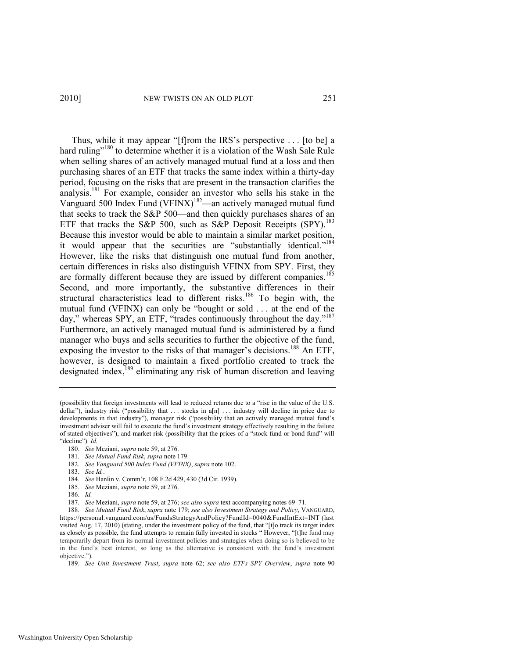<span id="page-23-0"></span>Thus, while it may appear "[f]rom the IRS's perspective . . . [to be] a hard ruling"<sup>180</sup> to determine whether it is a violation of the Wash Sale Rule when selling shares of an actively managed mutual fund at a loss and then purchasing shares of an ETF that tracks the same index within a thirty-day period, focusing on the risks that are present in the transaction clarifies the analysis.<sup>181</sup> For example, consider an investor who sells his stake in the Vanguard 500 Index Fund (VFINX)<sup>182</sup>—an actively managed mutual fund that seeks to track the S&P 500—and then quickly purchases shares of an ETF that tracks the S&P 500, such as S&P Deposit Receipts (SPY).<sup>183</sup> Because this investor would be able to maintain a similar market position, it would appear that the securities are "substantially identical."<sup>184</sup> However, like the risks that distinguish one mutual fund from another, certain differences in risks also distinguish VFINX from SPY. First, they are formally different because they are issued by different companies.<sup>185</sup> Second, and more importantly, the substantive differences in their structural characteristics lead to different risks.<sup>186</sup> To begin with, the mutual fund (VFINX) can only be "bought or sold  $\dots$  at the end of the day," whereas SPY, an ETF, "trades continuously throughout the day."<sup>187</sup> Furthermore, an actively managed mutual fund is administered by a fund manager who buys and sells securities to further the objective of the fund, exposing the investor to the risks of that manager's decisions.<sup>188</sup> An ETF, however, is designed to maintain a fixed portfolio created to track the designated index,<sup>189</sup> eliminating any risk of human discretion and leaving

184. *See* Hanlin v. Comm'r, 108 F.2d 429, 430 (3d Cir. 1939).

186. *Id.* 

<span id="page-23-1"></span><sup>(</sup>possibility that foreign investments will lead to reduced returns due to a "rise in the value of the U.S. dollar"), industry risk ("possibility that . . . stocks in a[n] . . . industry will decline in price due to developments in that industry"), manager risk ("possibility that an actively managed mutual fund's investment adviser will fail to execute the fund's investment strategy effectively resulting in the failure of stated objectives"), and market risk (possibility that the prices of a "stock fund or bond fund" will "decline"). *Id.* 

<sup>180.</sup> *See* Meziani, *supra* not[e 59,](#page-8-0) at 276.

<sup>181.</sup> *See Mutual Fund Risk*, *supra* not[e 179.](#page-22-0)

<sup>182.</sup> *See Vanguard 500 Index Fund (VFINX)*, *supra* not[e 102.](#page-12-1)

<sup>183.</sup> *See Id.*.

<sup>185.</sup> *See* Meziani, *supra* not[e 59,](#page-8-0) at 276.

<sup>187.</sup> *See* Meziani, *supra* not[e 59,](#page-8-0) at 276; *see also supra* text accompanying note[s 69](#page-9-2)–[71.](#page-9-4) 

<sup>188.</sup> *See Mutual Fund Risk*, *supra* note [179;](#page-22-0) *see also Investment Strategy and Policy*, VANGUARD, https://personal.vanguard.com/us/FundsStrategyAndPolicy?FundId=0040&FundIntExt=INT (last visited Aug. 17, 2010) (stating, under the investment policy of the fund, that "[t]o track its target index as closely as possible, the fund attempts to remain fully invested in stocks "However, "[t]he fund may temporarily depart from its normal investment policies and strategies when doing so is believed to be in the fund's best interest, so long as the alternative is consistent with the fund's investment objective.").

<sup>189.</sup> *See Unit Investment Trust*, *supra* note [62;](#page-8-4) *see also ETFs SPY Overview*, *supra* note [90](#page-11-0)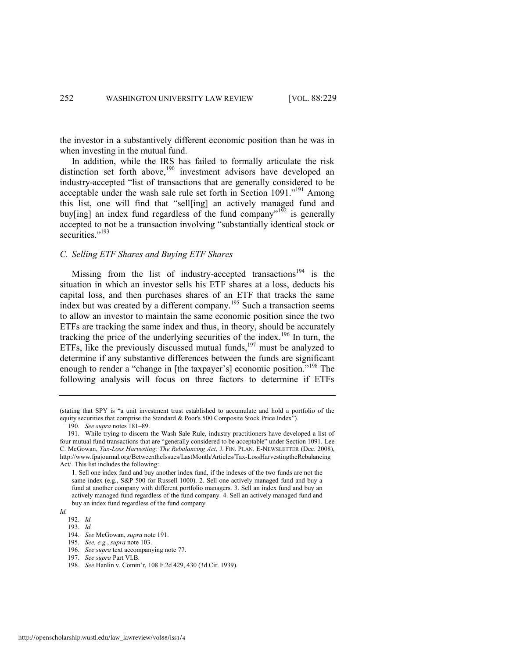the investor in a substantively different economic position than he was in when investing in the mutual fund.

<span id="page-24-0"></span>In addition, while the IRS has failed to formally articulate the risk distinction set forth above,<sup>190</sup> investment advisors have developed an industry-accepted "list of transactions that are generally considered to be acceptable under the wash sale rule set forth in Section  $1091$ .<sup>191</sup> Among this list, one will find that "sell[ing] an actively managed fund and buy[ing] an index fund regardless of the fund company<sup> $192$ </sup> is generally accepted to not be a transaction involving "substantially identical stock or securities<sup>",193</sup>

### *C. Selling ETF Shares and Buying ETF Shares*

Missing from the list of industry-accepted transactions<sup>194</sup> is the situation in which an investor sells his ETF shares at a loss, deducts his capital loss, and then purchases shares of an ETF that tracks the same index but was created by a different company.<sup>195</sup> Such a transaction seems to allow an investor to maintain the same economic position since the two ETFs are tracking the same index and thus, in theory, should be accurately tracking the price of the underlying securities of the index.<sup>196</sup> In turn, the ETFs, like the previously discussed mutual funds,<sup>197</sup> must be analyzed to determine if any substantive differences between the funds are significant enough to render a "change in [the taxpayer's] economic position."<sup>198</sup> The following analysis will focus on three factors to determine if ETFs

196. *See supra* text accompanying not[e 77.](#page-9-1)

<sup>(</sup>stating that SPY is "a unit investment trust established to accumulate and hold a portfolio of the equity securities that comprise the Standard & Poor's 500 Composite Stock Price Index").

<sup>190.</sup> *See supra* note[s 181](#page-23-0)–89.

<sup>191.</sup> While trying to discern the Wash Sale Rule, industry practitioners have developed a list of four mutual fund transactions that are "generally considered to be acceptable" under Section 1091. Lee C. McGowan, *Tax-Loss Harvesting: The Rebalancing Act*, J. FIN. PLAN. E-NEWSLETTER (Dec. 2008), http://www.fpajournal.org/BetweentheIssues/LastMonth/Articles/Tax-LossHarvestingtheRebalancing Act/. This list includes the following:

<sup>1.</sup> Sell one index fund and buy another index fund, if the indexes of the two funds are not the same index (e.g., S&P 500 for Russell 1000). 2. Sell one actively managed fund and buy a fund at another company with different portfolio managers. 3. Sell an index fund and buy an actively managed fund regardless of the fund company. 4. Sell an actively managed fund and buy an index fund regardless of the fund company.

*Id.*

<sup>192.</sup> *Id.*  193. *Id.* 

<sup>194.</sup> *See* McGowan, *supra* not[e 191.](#page-24-0) 195. *See, e.g.*, *supra* not[e 103.](#page-12-2) 

<sup>197.</sup> *See supra* Part VI.B.

<sup>198.</sup> *See* Hanlin v. Comm'r, 108 F.2d 429, 430 (3d Cir. 1939).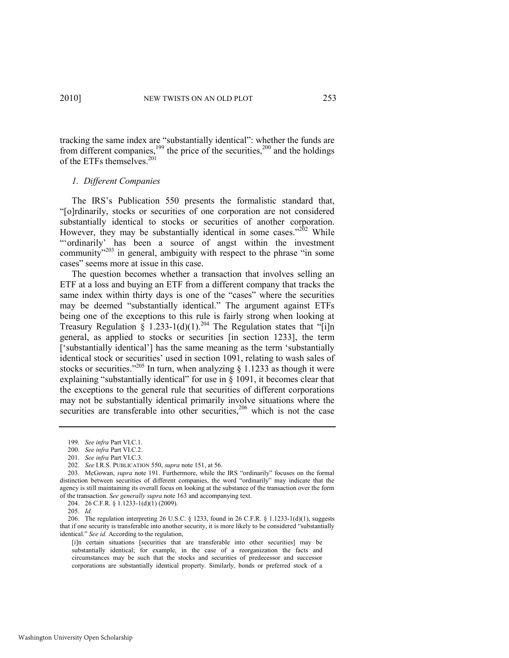tracking the same index are "substantially identical": whether the funds are from different companies,<sup>199</sup> the price of the securities,<sup>200</sup> and the holdings of the ETFs themselves.<sup>201</sup>

# *1. Different Companies*

The IRS's Publication 550 presents the formalistic standard that, ―[o]rdinarily, stocks or securities of one corporation are not considered substantially identical to stocks or securities of another corporation. However, they may be substantially identical in some cases." $202$  While ―‗ordinarily' has been a source of angst within the investment community"<sup>203</sup> in general, ambiguity with respect to the phrase "in some cases" seems more at issue in this case.

The question becomes whether a transaction that involves selling an ETF at a loss and buying an ETF from a different company that tracks the same index within thirty days is one of the "cases" where the securities may be deemed "substantially identical." The argument against ETFs being one of the exceptions to this rule is fairly strong when looking at Treasury Regulation § 1.233-1(d)(1).<sup>204</sup> The Regulation states that "[i]n general, as applied to stocks or securities [in section 1233], the term ['substantially identical'] has the same meaning as the term 'substantially identical stock or securities' used in section 1091, relating to wash sales of stocks or securities.<sup>2205</sup> In turn, when analyzing  $\hat{\S}$  1.1233 as though it were explaining "substantially identical" for use in  $\S$  1091, it becomes clear that the exceptions to the general rule that securities of different corporations may not be substantially identical primarily involve situations where the securities are transferable into other securities,<sup>206</sup> which is not the case

<sup>199.</sup> *See infra* Part VI.C.1.

<sup>200.</sup> *See infra* Part VI.C.2.

<sup>201.</sup> *See infra* Part VI.C.3.

<sup>202.</sup> *See* I.R.S. PUBLICATION 550, *supra* not[e 151,](#page-18-1) at 56.

<sup>203.</sup> McGowan, *supra* note [191.](#page-24-0) Furthermore, while the IRS "ordinarily" focuses on the formal distinction between securities of different companies, the word "ordinarily" may indicate that the agency is still maintaining its overall focus on looking at the substance of the transaction over the form of the transaction. *See generally supra* note [163 a](#page-20-0)nd accompanying text.

<sup>204. 26</sup> C.F.R. § 1.1233-1(d)(1) (2009).

<sup>205.</sup> *Id.* 

<sup>206.</sup> The regulation interpreting 26 U.S.C. § 1233, found in 26 C.F.R. § 1.1233-1(d)(1), suggests that if one security is transferable into another security, it is more likely to be considered "substantially identical." See id. According to the regulation,

<sup>[</sup>i]n certain situations [securities that are transferable into other securities] may be substantially identical; for example, in the case of a reorganization the facts and circumstances may be such that the stocks and securities of predecessor and successor corporations are substantially identical property. Similarly, bonds or preferred stock of a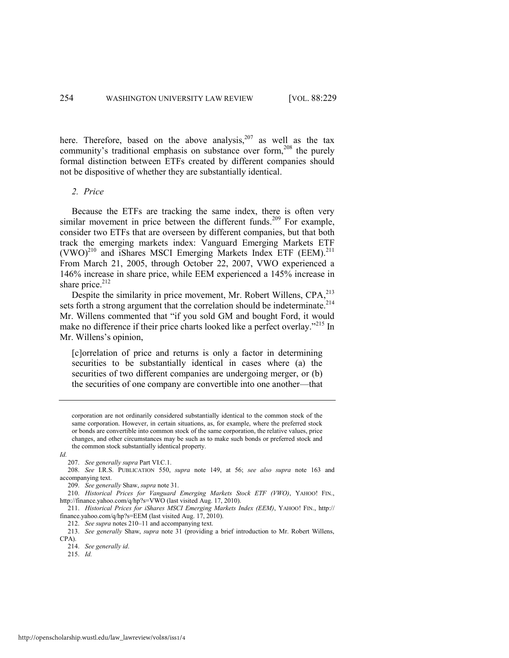here. Therefore, based on the above analysis,  $207$  as well as the tax community's traditional emphasis on substance over form,<sup>208</sup> the purely formal distinction between ETFs created by different companies should not be dispositive of whether they are substantially identical.

# *2. Price*

<span id="page-26-0"></span>Because the ETFs are tracking the same index, there is often very similar movement in price between the different funds.<sup>209</sup> For example, consider two ETFs that are overseen by different companies, but that both track the emerging markets index: Vanguard Emerging Markets ETF  $(VWO)^{210}$  and iShares MSCI Emerging Markets Index ETF (EEM).<sup>211</sup> From March 21, 2005, through October 22, 2007, VWO experienced a 146% increase in share price, while EEM experienced a 145% increase in share price. $212$ 

Despite the similarity in price movement, Mr. Robert Willens, CPA,<sup>213</sup> sets forth a strong argument that the correlation should be indeterminate.<sup>214</sup> Mr. Willens commented that "if you sold GM and bought Ford, it would make no difference if their price charts looked like a perfect overlay."<sup>215</sup> In Mr. Willens's opinion,

[c]orrelation of price and returns is only a factor in determining securities to be substantially identical in cases where (a) the securities of two different companies are undergoing merger, or (b) the securities of one company are convertible into one another—that

corporation are not ordinarily considered substantially identical to the common stock of the same corporation. However, in certain situations, as, for example, where the preferred stock or bonds are convertible into common stock of the same corporation, the relative values, price changes, and other circumstances may be such as to make such bonds or preferred stock and the common stock substantially identical property.

*Id.* 

207. *See generally supra* Part VI.C.1.

208. *See* I.R.S. PUBLICATION 550, *supra* note [149,](#page-17-0) at 56; *see also supra* note [163](#page-20-0) and accompanying text.

209. *See generally* Shaw, *supra* not[e 31.](#page-4-1) 

210. *Historical Prices for Vanguard Emerging Markets Stock ETF (VWO)*, YAHOO! FIN., http://finance.yahoo.com/q/hp?s=VWO (last visited Aug. 17, 2010).

211. *Historical Prices for iShares MSCI Emerging Markets Index (EEM)*, YAHOO! FIN., http:// finance.yahoo.com/q/hp?s=EEM (last visited Aug. 17, 2010).

212. *See supra* note[s 210](#page-26-0)–11 and accompanying text.

213. *See generally* Shaw, *supra* note [31](#page-4-1) (providing a brief introduction to Mr. Robert Willens, CPA).

214. *See generally id*.

215. *Id.*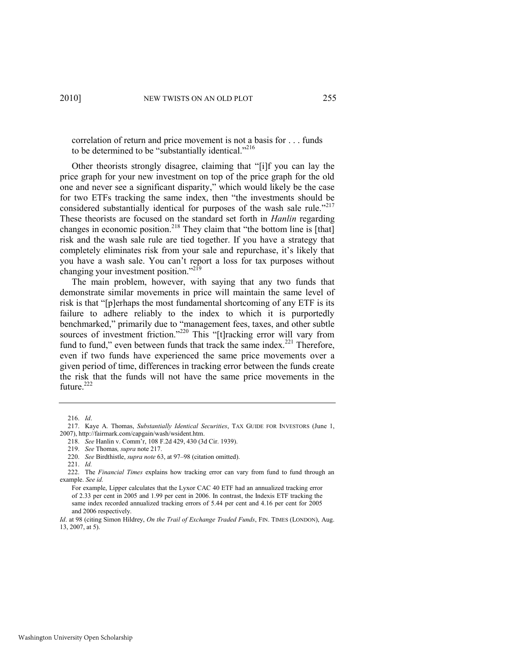<span id="page-27-0"></span>correlation of return and price movement is not a basis for . . . funds to be determined to be "substantially identical."<sup>216</sup>

Other theorists strongly disagree, claiming that "[i]f you can lay the price graph for your new investment on top of the price graph for the old one and never see a significant disparity," which would likely be the case for two ETFs tracking the same index, then "the investments should be considered substantially identical for purposes of the wash sale rule.<sup> $217$ </sup> These theorists are focused on the standard set forth in *Hanlin* regarding changes in economic position.<sup>218</sup> They claim that "the bottom line is [that] risk and the wash sale rule are tied together. If you have a strategy that completely eliminates risk from your sale and repurchase, it's likely that you have a wash sale. You can't report a loss for tax purposes without changing your investment position."<sup>219</sup>

The main problem, however, with saying that any two funds that demonstrate similar movements in price will maintain the same level of risk is that "[p]erhaps the most fundamental shortcoming of any ETF is its failure to adhere reliably to the index to which it is purportedly benchmarked," primarily due to "management fees, taxes, and other subtle sources of investment friction."<sup>220</sup> This "[t]racking error will vary from fund to fund," even between funds that track the same index.<sup>221</sup> Therefore, even if two funds have experienced the same price movements over a given period of time, differences in tracking error between the funds create the risk that the funds will not have the same price movements in the future.<sup>222</sup>

<sup>216.</sup> *Id*.

<sup>217.</sup> Kaye A. Thomas, *Substantially Identical Securities*, TAX GUIDE FOR INVESTORS (June 1, 2007), http://fairmark.com/capgain/wash/wsident.htm.

<sup>218.</sup> *See* Hanlin v. Comm'r, 108 F.2d 429, 430 (3d Cir. 1939).

<sup>219.</sup> *See* Thomas*, supra* not[e 217.](#page-27-0)

<sup>220.</sup> *See* Birdthistle, *supra note* [63,](#page-8-3) at 97–98 (citation omitted).

<sup>221.</sup> *Id.* 

<sup>222.</sup> The *Financial Times* explains how tracking error can vary from fund to fund through an example. *See id.*

For example, Lipper calculates that the Lyxor CAC 40 ETF had an annualized tracking error of 2.33 per cent in 2005 and 1.99 per cent in 2006. In contrast, the Indexis ETF tracking the same index recorded annualized tracking errors of 5.44 per cent and 4.16 per cent for 2005 and 2006 respectively.

*Id.* at 98 (citing Simon Hildrey, *On the Trail of Exchange Traded Funds*, FIN. TIMES (LONDON), Aug. 13, 2007, at 5).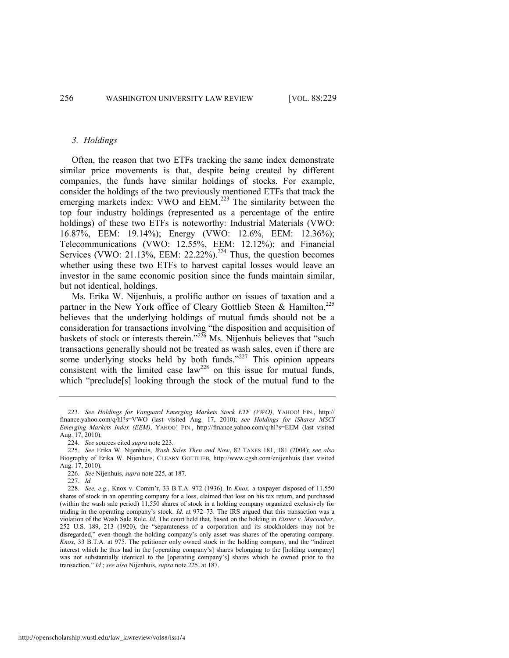#### <span id="page-28-0"></span>*3. Holdings*

Often, the reason that two ETFs tracking the same index demonstrate similar price movements is that, despite being created by different companies, the funds have similar holdings of stocks. For example, consider the holdings of the two previously mentioned ETFs that track the emerging markets index: VWO and EEM.<sup>223</sup> The similarity between the top four industry holdings (represented as a percentage of the entire holdings) of these two ETFs is noteworthy: Industrial Materials (VWO: 16.87%, EEM: 19.14%); Energy (VWO: 12.6%, EEM: 12.36%); Telecommunications (VWO: 12.55%, EEM: 12.12%); and Financial Services (VWO: 21.13%, EEM: 22.22%).<sup>224</sup> Thus, the question becomes whether using these two ETFs to harvest capital losses would leave an investor in the same economic position since the funds maintain similar, but not identical, holdings.

<span id="page-28-2"></span><span id="page-28-1"></span>Ms. Erika W. Nijenhuis, a prolific author on issues of taxation and a partner in the New York office of Cleary Gottlieb Steen & Hamilton, $^{225}$ believes that the underlying holdings of mutual funds should not be a consideration for transactions involving "the disposition and acquisition of baskets of stock or interests therein.<sup>226</sup> Ms. Nijenhuis believes that "such transactions generally should not be treated as wash sales, even if there are some underlying stocks held by both funds.<sup>227</sup> This opinion appears consistent with the limited case law<sup>228</sup> on this issue for mutual funds, which "preclude<sup>[s]</sup> looking through the stock of the mutual fund to the

<sup>223.</sup> *See Holdings for Vanguard Emerging Markets Stock ETF (VWO)*, YAHOO! FIN., http:// finance.yahoo.com/q/hl?s=VWO (last visited Aug. 17, 2010); *see Holdings for iShares MSCI Emerging Markets Index (EEM)*, YAHOO! FIN., http://finance.yahoo.com/q/hl?s=EEM (last visited Aug. 17, 2010).

<sup>224.</sup> *See* sources cited *supra* not[e 223.](#page-28-0) 

<sup>225</sup>*. See* Erika W. Nijenhuis, *Wash Sales Then and Now*, 82 TAXES 181, 181 (2004); *see also*  Biography of Erika W. Nijenhuis, CLEARY GOTTLIEB, http://www.cgsh.com/enijenhuis (last visited Aug. 17, 2010).

<sup>226.</sup> *See* Nijenhuis, *supra* not[e 225,](#page-28-1) at 187.

<sup>227.</sup> *Id.*

<sup>228.</sup> *See, e.g.*, Knox v. Comm'r, 33 B.T.A. 972 (1936). In *Knox,* a taxpayer disposed of 11,550 shares of stock in an operating company for a loss, claimed that loss on his tax return, and purchased (within the wash sale period) 11,550 shares of stock in a holding company organized exclusively for trading in the operating company's stock. *Id.* at 972–73. The IRS argued that this transaction was a violation of the Wash Sale Rule. *Id.* The court held that, based on the holding in *Eisner v. Macomber*, 252 U.S. 189, 213 (1920), the "separateness of a corporation and its stockholders may not be disregarded," even though the holding company's only asset was shares of the operating company. *Knox*, 33 B.T.A. at 975. The petitioner only owned stock in the holding company, and the "indirect" interest which he thus had in the [operating company's] shares belonging to the [holding company] was not substantially identical to the [operating company's] shares which he owned prior to the transaction.‖ *Id.*; *see also* Nijenhuis, *supra* not[e 225,](#page-28-1) at 187.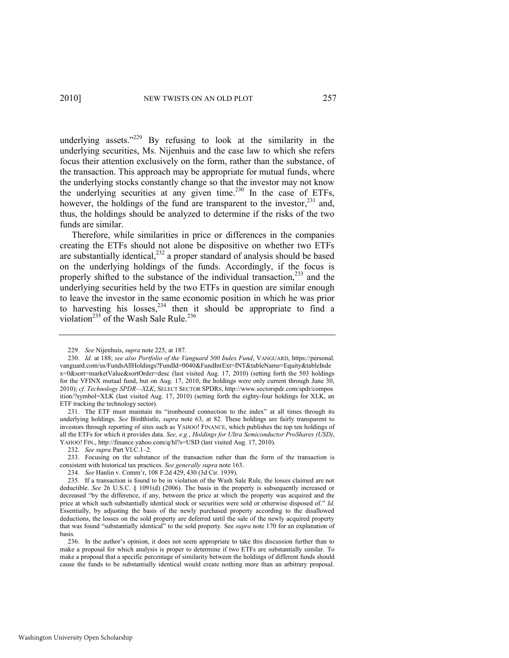underlying assets."<sup>229</sup> By refusing to look at the similarity in the underlying securities, Ms. Nijenhuis and the case law to which she refers focus their attention exclusively on the form, rather than the substance, of the transaction. This approach may be appropriate for mutual funds, where the underlying stocks constantly change so that the investor may not know the underlying securities at any given time.<sup>230</sup> In the case of ETFs, however, the holdings of the fund are transparent to the investor, $^{231}$  and, thus, the holdings should be analyzed to determine if the risks of the two funds are similar.

Therefore, while similarities in price or differences in the companies creating the ETFs should not alone be dispositive on whether two ETFs are substantially identical, $2^{32}$  a proper standard of analysis should be based on the underlying holdings of the funds. Accordingly, if the focus is properly shifted to the substance of the individual transaction, $233$  and the underlying securities held by the two ETFs in question are similar enough to leave the investor in the same economic position in which he was prior to harvesting his losses,  $234$  then it should be appropriate to find a violation<sup>235</sup> of the Wash Sale Rule.<sup>236</sup>

231. The ETF must maintain its "ironbound connection to the index" at all times through its underlying holdings. *See* Birdthistle, *supra* note [63,](#page-8-3) at 82. These holdings are fairly transparent to investors through reporting of sites such as YAHOO! FINANCE, which publishes the top ten holdings of all the ETFs for which it provides data. *See, e.g.*, *Holdings for Ultra Semiconductor ProShares (USD)*, YAHOO! FIN., http://finance.yahoo.com/q/hl?s=USD (last visited Aug. 17, 2010).

232. *See supra* Part VI.C.1–2.

233. Focusing on the substance of the transaction rather than the form of the transaction is consistent with historical tax practices. *See generally supra* not[e 163.](#page-20-0) 

<span id="page-29-0"></span><sup>229.</sup> *See* Nijenhuis, *supra* not[e 225,](#page-28-2) at 187.

<sup>230.</sup> *Id.* at 188; *see also Portfolio of the Vanguard 500 Index Fund*, VANGUARD, https://personal. vanguard.com/us/FundsAllHoldings?FundId=0040&FundIntExt=INT&tableName=Equity&tableInde x=0&sort=marketValue&sortOrder=desc (last visited Aug. 17, 2010) (setting forth the 503 holdings for the VFINX mutual fund, but on Aug. 17, 2010, the holdings were only current through June 30, 2010); *cf. Technology SPDR—XLK*, SELECT SECTOR SPDRS, http://www.sectorspdr.com/spdr/compos ition/?symbol=XLK (last visited Aug. 17, 2010) (setting forth the eighty-four holdings for XLK, an ETF tracking the technology sector).

<sup>234.</sup> *See* Hanlin v. Comm'r, 108 F.2d 429, 430 (3d Cir. 1939).

<sup>235.</sup> If a transaction is found to be in violation of the Wash Sale Rule, the losses claimed are not deductible. *See* 26 U.S.C. § 1091(d) (2006). The basis in the property is subsequently increased or decreased "by the difference, if any, between the price at which the property was acquired and the price at which such substantially identical stock or securities were sold or otherwise disposed of." Id. Essentially, by adjusting the basis of the newly purchased property according to the disallowed deductions, the losses on the sold property are deferred until the sale of the newly acquired property that was found "substantially identical" to the sold property. See *supra* not[e 170 f](#page-21-0)or an explanation of basis.

<sup>236.</sup> In the author's opinion, it does not seem appropriate to take this discussion further than to make a proposal for which analysis is proper to determine if two ETFs are substantially similar. To make a proposal that a specific percentage of similarity between the holdings of different funds should cause the funds to be substantially identical would create nothing more than an arbitrary proposal.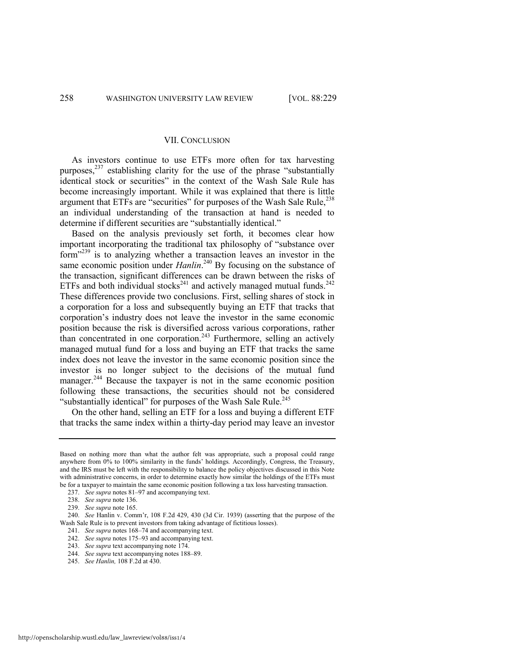#### VII. CONCLUSION

As investors continue to use ETFs more often for tax harvesting purposes, $^{237}$  establishing clarity for the use of the phrase "substantially" identical stock or securities" in the context of the Wash Sale Rule has become increasingly important. While it was explained that there is little argument that ETFs are "securities" for purposes of the Wash Sale Rule, $^{238}$ an individual understanding of the transaction at hand is needed to determine if different securities are "substantially identical."

Based on the analysis previously set forth, it becomes clear how important incorporating the traditional tax philosophy of "substance over form"<sup>239</sup> is to analyzing whether a transaction leaves an investor in the same economic position under *Hanlin*.<sup>240</sup> By focusing on the substance of the transaction, significant differences can be drawn between the risks of ETFs and both individual stocks<sup>241</sup> and actively managed mutual funds.<sup>242</sup> These differences provide two conclusions. First, selling shares of stock in a corporation for a loss and subsequently buying an ETF that tracks that corporation's industry does not leave the investor in the same economic position because the risk is diversified across various corporations, rather than concentrated in one corporation.<sup>243</sup> Furthermore, selling an actively managed mutual fund for a loss and buying an ETF that tracks the same index does not leave the investor in the same economic position since the investor is no longer subject to the decisions of the mutual fund manager.<sup>244</sup> Because the taxpayer is not in the same economic position following these transactions, the securities should not be considered "substantially identical" for purposes of the Wash Sale Rule.<sup>245</sup>

On the other hand, selling an ETF for a loss and buying a different ETF that tracks the same index within a thirty-day period may leave an investor

241. *See supra* note[s 168](#page-21-4)–74 and accompanying text.

243. *See supra* text accompanying not[e 174.](#page-22-2)

Based on nothing more than what the author felt was appropriate, such a proposal could range anywhere from 0% to 100% similarity in the funds' holdings. Accordingly, Congress, the Treasury, and the IRS must be left with the responsibility to balance the policy objectives discussed in this Note with administrative concerns, in order to determine exactly how similar the holdings of the ETFs must be for a taxpayer to maintain the same economic position following a tax loss harvesting transaction.

<sup>237.</sup> *See supra* note[s 81](#page-10-1)–[97 a](#page-12-0)nd accompanying text.

<sup>238.</sup> *See supra* not[e 136.](#page-16-1) 

<sup>239.</sup> *See supra* not[e 165.](#page-21-3) 

<sup>240.</sup> *See* Hanlin v. Comm'r, 108 F.2d 429, 430 (3d Cir. 1939) (asserting that the purpose of the Wash Sale Rule is to prevent investors from taking advantage of fictitious losses).

<sup>242.</sup> *See supra* note[s 175](#page-22-1)–93 and accompanying text.

<sup>244.</sup> *See supra* text accompanying note[s 188](#page-23-1)–89.

<sup>245.</sup> *See Hanlin,* 108 F.2d at 430.